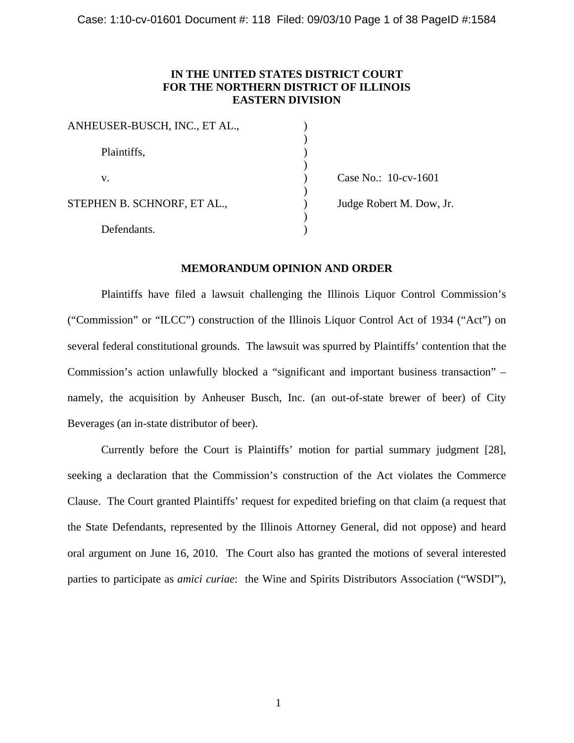# **IN THE UNITED STATES DISTRICT COURT FOR THE NORTHERN DISTRICT OF ILLINOIS EASTERN DIVISION**

| ANHEUSER-BUSCH, INC., ET AL., |                          |
|-------------------------------|--------------------------|
| Plaintiffs,                   |                          |
| v.                            | Case No.: 10-cv-1601     |
| STEPHEN B. SCHNORF, ET AL.,   | Judge Robert M. Dow, Jr. |
| Defendants.                   |                          |

# **MEMORANDUM OPINION AND ORDER**

Plaintiffs have filed a lawsuit challenging the Illinois Liquor Control Commission's ("Commission" or "ILCC") construction of the Illinois Liquor Control Act of 1934 ("Act") on several federal constitutional grounds. The lawsuit was spurred by Plaintiffs' contention that the Commission's action unlawfully blocked a "significant and important business transaction" – namely, the acquisition by Anheuser Busch, Inc. (an out-of-state brewer of beer) of City Beverages (an in-state distributor of beer).

Currently before the Court is Plaintiffs' motion for partial summary judgment [28], seeking a declaration that the Commission's construction of the Act violates the Commerce Clause. The Court granted Plaintiffs' request for expedited briefing on that claim (a request that the State Defendants, represented by the Illinois Attorney General, did not oppose) and heard oral argument on June 16, 2010. The Court also has granted the motions of several interested parties to participate as *amici curiae*: the Wine and Spirits Distributors Association ("WSDI"),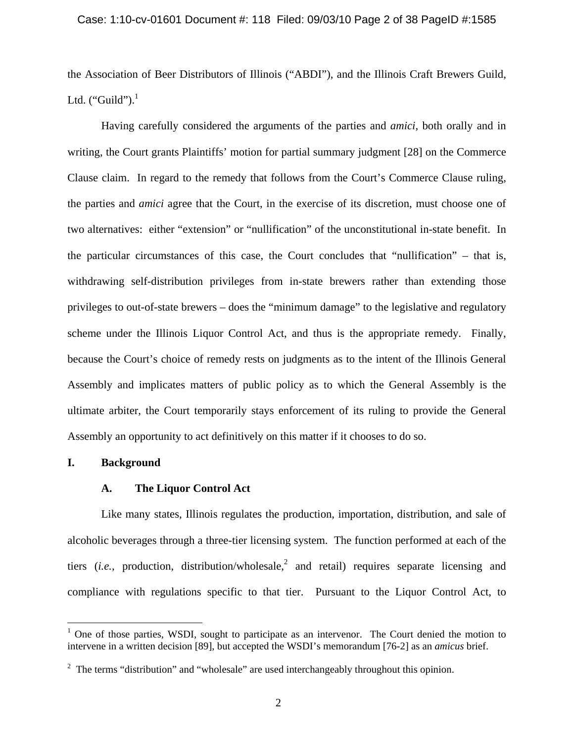## Case: 1:10-cv-01601 Document #: 118 Filed: 09/03/10 Page 2 of 38 PageID #:1585

the Association of Beer Distributors of Illinois ("ABDI"), and the Illinois Craft Brewers Guild, Ltd. ("Guild"). $^1$ 

Having carefully considered the arguments of the parties and *amici*, both orally and in writing, the Court grants Plaintiffs' motion for partial summary judgment [28] on the Commerce Clause claim. In regard to the remedy that follows from the Court's Commerce Clause ruling, the parties and *amici* agree that the Court, in the exercise of its discretion, must choose one of two alternatives: either "extension" or "nullification" of the unconstitutional in-state benefit. In the particular circumstances of this case, the Court concludes that "nullification" – that is, withdrawing self-distribution privileges from in-state brewers rather than extending those privileges to out-of-state brewers – does the "minimum damage" to the legislative and regulatory scheme under the Illinois Liquor Control Act, and thus is the appropriate remedy. Finally, because the Court's choice of remedy rests on judgments as to the intent of the Illinois General Assembly and implicates matters of public policy as to which the General Assembly is the ultimate arbiter, the Court temporarily stays enforcement of its ruling to provide the General Assembly an opportunity to act definitively on this matter if it chooses to do so.

# **I. Background**

<u>.</u>

## **A. The Liquor Control Act**

Like many states, Illinois regulates the production, importation, distribution, and sale of alcoholic beverages through a three-tier licensing system. The function performed at each of the tiers (*i.e.*, production, distribution/wholesale,<sup>2</sup> and retail) requires separate licensing and compliance with regulations specific to that tier. Pursuant to the Liquor Control Act, to

<sup>&</sup>lt;sup>1</sup> One of those parties, WSDI, sought to participate as an intervenor. The Court denied the motion to intervene in a written decision [89], but accepted the WSDI's memorandum [76-2] as an *amicus* brief.

 $2$  The terms "distribution" and "wholesale" are used interchangeably throughout this opinion.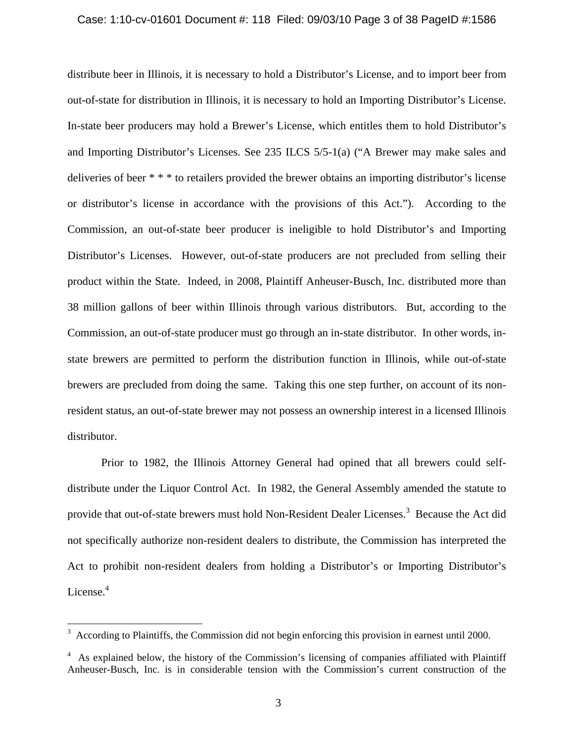### Case: 1:10-cv-01601 Document #: 118 Filed: 09/03/10 Page 3 of 38 PageID #:1586

distribute beer in Illinois, it is necessary to hold a Distributor's License, and to import beer from out-of-state for distribution in Illinois, it is necessary to hold an Importing Distributor's License. In-state beer producers may hold a Brewer's License, which entitles them to hold Distributor's and Importing Distributor's Licenses. See 235 ILCS 5/5-1(a) ("A Brewer may make sales and deliveries of beer \* \* \* to retailers provided the brewer obtains an importing distributor's license or distributor's license in accordance with the provisions of this Act."). According to the Commission, an out-of-state beer producer is ineligible to hold Distributor's and Importing Distributor's Licenses. However, out-of-state producers are not precluded from selling their product within the State. Indeed, in 2008, Plaintiff Anheuser-Busch, Inc. distributed more than 38 million gallons of beer within Illinois through various distributors. But, according to the Commission, an out-of-state producer must go through an in-state distributor. In other words, instate brewers are permitted to perform the distribution function in Illinois, while out-of-state brewers are precluded from doing the same. Taking this one step further, on account of its nonresident status, an out-of-state brewer may not possess an ownership interest in a licensed Illinois distributor.

Prior to 1982, the Illinois Attorney General had opined that all brewers could selfdistribute under the Liquor Control Act. In 1982, the General Assembly amended the statute to provide that out-of-state brewers must hold Non-Resident Dealer Licenses.<sup>3</sup> Because the Act did not specifically authorize non-resident dealers to distribute, the Commission has interpreted the Act to prohibit non-resident dealers from holding a Distributor's or Importing Distributor's License. $4$ 

 $\overline{a}$ 

<sup>3</sup> According to Plaintiffs, the Commission did not begin enforcing this provision in earnest until 2000.

<sup>4</sup> As explained below, the history of the Commission's licensing of companies affiliated with Plaintiff Anheuser-Busch, Inc. is in considerable tension with the Commission's current construction of the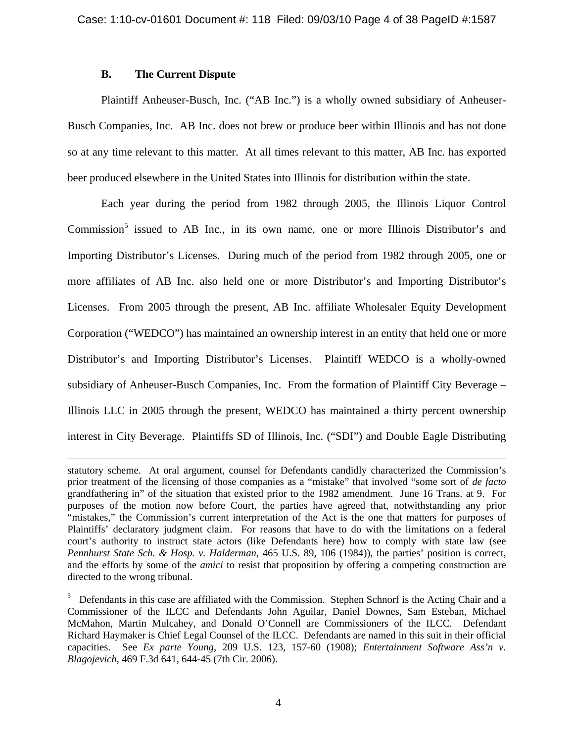# **B. The Current Dispute**

 $\overline{a}$ 

Plaintiff Anheuser-Busch, Inc. ("AB Inc.") is a wholly owned subsidiary of Anheuser-Busch Companies, Inc. AB Inc. does not brew or produce beer within Illinois and has not done so at any time relevant to this matter. At all times relevant to this matter, AB Inc. has exported beer produced elsewhere in the United States into Illinois for distribution within the state.

Each year during the period from 1982 through 2005, the Illinois Liquor Control Commission<sup>5</sup> issued to AB Inc., in its own name, one or more Illinois Distributor's and Importing Distributor's Licenses. During much of the period from 1982 through 2005, one or more affiliates of AB Inc. also held one or more Distributor's and Importing Distributor's Licenses. From 2005 through the present, AB Inc. affiliate Wholesaler Equity Development Corporation ("WEDCO") has maintained an ownership interest in an entity that held one or more Distributor's and Importing Distributor's Licenses. Plaintiff WEDCO is a wholly-owned subsidiary of Anheuser-Busch Companies, Inc. From the formation of Plaintiff City Beverage – Illinois LLC in 2005 through the present, WEDCO has maintained a thirty percent ownership interest in City Beverage. Plaintiffs SD of Illinois, Inc. ("SDI") and Double Eagle Distributing

statutory scheme. At oral argument, counsel for Defendants candidly characterized the Commission's prior treatment of the licensing of those companies as a "mistake" that involved "some sort of *de facto* grandfathering in" of the situation that existed prior to the 1982 amendment. June 16 Trans. at 9. For purposes of the motion now before Court, the parties have agreed that, notwithstanding any prior "mistakes," the Commission's current interpretation of the Act is the one that matters for purposes of Plaintiffs' declaratory judgment claim. For reasons that have to do with the limitations on a federal court's authority to instruct state actors (like Defendants here) how to comply with state law (see *Pennhurst State Sch. & Hosp. v. Halderman*, 465 U.S. 89, 106 (1984)), the parties' position is correct, and the efforts by some of the *amici* to resist that proposition by offering a competing construction are directed to the wrong tribunal.

<sup>&</sup>lt;sup>5</sup> Defendants in this case are affiliated with the Commission. Stephen Schnorf is the Acting Chair and a Commissioner of the ILCC and Defendants John Aguilar, Daniel Downes, Sam Esteban, Michael McMahon, Martin Mulcahey, and Donald O'Connell are Commissioners of the ILCC. Defendant Richard Haymaker is Chief Legal Counsel of the ILCC. Defendants are named in this suit in their official capacities. See *Ex parte Young*, 209 U.S. 123, 157-60 (1908); *Entertainment Software Ass'n v. Blagojevich*, 469 F.3d 641, 644-45 (7th Cir. 2006).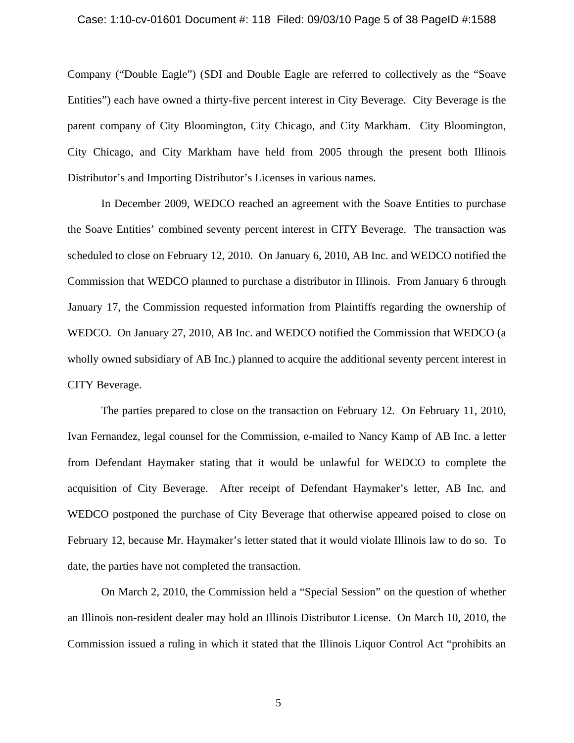#### Case: 1:10-cv-01601 Document #: 118 Filed: 09/03/10 Page 5 of 38 PageID #:1588

Company ("Double Eagle") (SDI and Double Eagle are referred to collectively as the "Soave Entities") each have owned a thirty-five percent interest in City Beverage. City Beverage is the parent company of City Bloomington, City Chicago, and City Markham. City Bloomington, City Chicago, and City Markham have held from 2005 through the present both Illinois Distributor's and Importing Distributor's Licenses in various names.

In December 2009, WEDCO reached an agreement with the Soave Entities to purchase the Soave Entities' combined seventy percent interest in CITY Beverage. The transaction was scheduled to close on February 12, 2010. On January 6, 2010, AB Inc. and WEDCO notified the Commission that WEDCO planned to purchase a distributor in Illinois. From January 6 through January 17, the Commission requested information from Plaintiffs regarding the ownership of WEDCO. On January 27, 2010, AB Inc. and WEDCO notified the Commission that WEDCO (a wholly owned subsidiary of AB Inc.) planned to acquire the additional seventy percent interest in CITY Beverage.

The parties prepared to close on the transaction on February 12. On February 11, 2010, Ivan Fernandez, legal counsel for the Commission, e-mailed to Nancy Kamp of AB Inc. a letter from Defendant Haymaker stating that it would be unlawful for WEDCO to complete the acquisition of City Beverage. After receipt of Defendant Haymaker's letter, AB Inc. and WEDCO postponed the purchase of City Beverage that otherwise appeared poised to close on February 12, because Mr. Haymaker's letter stated that it would violate Illinois law to do so. To date, the parties have not completed the transaction.

On March 2, 2010, the Commission held a "Special Session" on the question of whether an Illinois non-resident dealer may hold an Illinois Distributor License. On March 10, 2010, the Commission issued a ruling in which it stated that the Illinois Liquor Control Act "prohibits an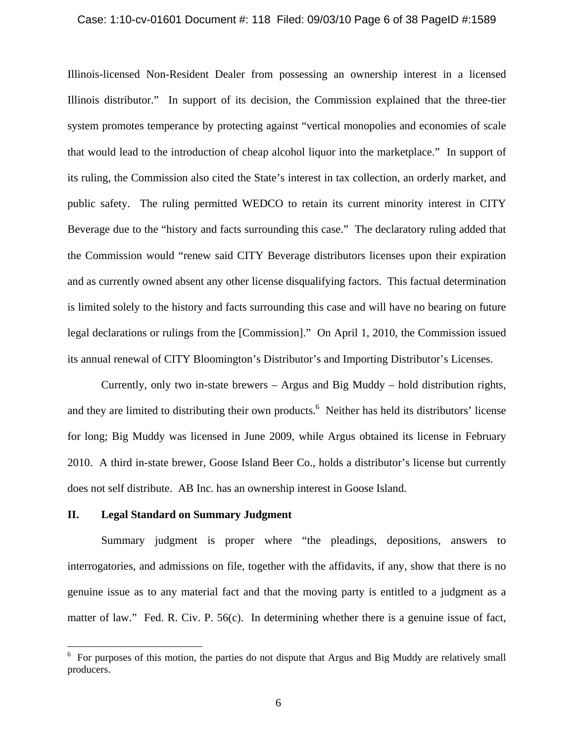#### Case: 1:10-cv-01601 Document #: 118 Filed: 09/03/10 Page 6 of 38 PageID #:1589

Illinois-licensed Non-Resident Dealer from possessing an ownership interest in a licensed Illinois distributor." In support of its decision, the Commission explained that the three-tier system promotes temperance by protecting against "vertical monopolies and economies of scale that would lead to the introduction of cheap alcohol liquor into the marketplace." In support of its ruling, the Commission also cited the State's interest in tax collection, an orderly market, and public safety. The ruling permitted WEDCO to retain its current minority interest in CITY Beverage due to the "history and facts surrounding this case." The declaratory ruling added that the Commission would "renew said CITY Beverage distributors licenses upon their expiration and as currently owned absent any other license disqualifying factors. This factual determination is limited solely to the history and facts surrounding this case and will have no bearing on future legal declarations or rulings from the [Commission]." On April 1, 2010, the Commission issued its annual renewal of CITY Bloomington's Distributor's and Importing Distributor's Licenses.

Currently, only two in-state brewers – Argus and Big Muddy – hold distribution rights, and they are limited to distributing their own products.<sup>6</sup> Neither has held its distributors' license for long; Big Muddy was licensed in June 2009, while Argus obtained its license in February 2010. A third in-state brewer, Goose Island Beer Co., holds a distributor's license but currently does not self distribute. AB Inc. has an ownership interest in Goose Island.

# **II. Legal Standard on Summary Judgment**

Summary judgment is proper where "the pleadings, depositions, answers to interrogatories, and admissions on file, together with the affidavits, if any, show that there is no genuine issue as to any material fact and that the moving party is entitled to a judgment as a matter of law." Fed. R. Civ. P. 56(c). In determining whether there is a genuine issue of fact,

<sup>&</sup>lt;sup>6</sup> For purposes of this motion, the parties do not dispute that Argus and Big Muddy are relatively small producers.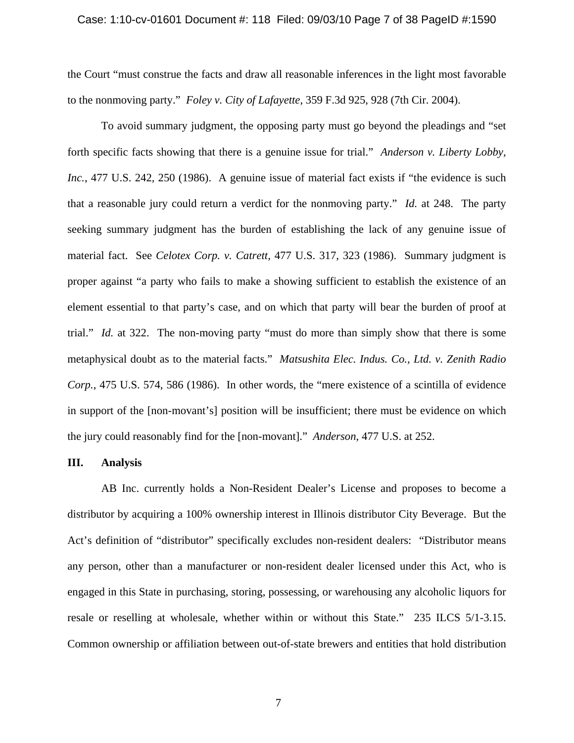#### Case: 1:10-cv-01601 Document #: 118 Filed: 09/03/10 Page 7 of 38 PageID #:1590

the Court "must construe the facts and draw all reasonable inferences in the light most favorable to the nonmoving party." *Foley v. City of Lafayette*, 359 F.3d 925, 928 (7th Cir. 2004).

To avoid summary judgment, the opposing party must go beyond the pleadings and "set forth specific facts showing that there is a genuine issue for trial." *Anderson v. Liberty Lobby, Inc.*, 477 U.S. 242, 250 (1986). A genuine issue of material fact exists if "the evidence is such that a reasonable jury could return a verdict for the nonmoving party." *Id.* at 248. The party seeking summary judgment has the burden of establishing the lack of any genuine issue of material fact. See *Celotex Corp. v. Catrett,* 477 U.S. 317, 323 (1986). Summary judgment is proper against "a party who fails to make a showing sufficient to establish the existence of an element essential to that party's case, and on which that party will bear the burden of proof at trial." *Id.* at 322. The non-moving party "must do more than simply show that there is some metaphysical doubt as to the material facts." *Matsushita Elec. Indus. Co., Ltd. v. Zenith Radio Corp.*, 475 U.S. 574, 586 (1986). In other words, the "mere existence of a scintilla of evidence in support of the [non-movant's] position will be insufficient; there must be evidence on which the jury could reasonably find for the [non-movant]." *Anderson*, 477 U.S. at 252.

### **III. Analysis**

AB Inc. currently holds a Non-Resident Dealer's License and proposes to become a distributor by acquiring a 100% ownership interest in Illinois distributor City Beverage. But the Act's definition of "distributor" specifically excludes non-resident dealers: "Distributor means any person, other than a manufacturer or non-resident dealer licensed under this Act, who is engaged in this State in purchasing, storing, possessing, or warehousing any alcoholic liquors for resale or reselling at wholesale, whether within or without this State." 235 ILCS 5/1-3.15. Common ownership or affiliation between out-of-state brewers and entities that hold distribution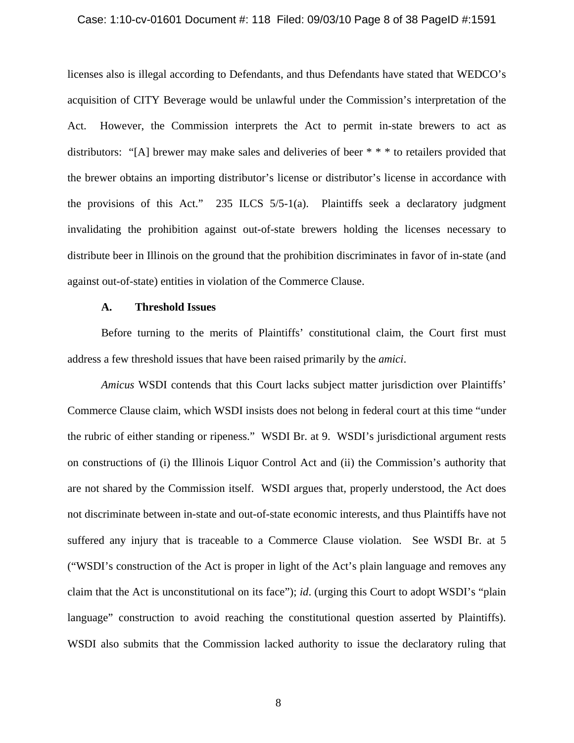#### Case: 1:10-cv-01601 Document #: 118 Filed: 09/03/10 Page 8 of 38 PageID #:1591

licenses also is illegal according to Defendants, and thus Defendants have stated that WEDCO's acquisition of CITY Beverage would be unlawful under the Commission's interpretation of the Act. However, the Commission interprets the Act to permit in-state brewers to act as distributors: "[A] brewer may make sales and deliveries of beer \* \* \* to retailers provided that the brewer obtains an importing distributor's license or distributor's license in accordance with the provisions of this Act." 235 ILCS 5/5-1(a). Plaintiffs seek a declaratory judgment invalidating the prohibition against out-of-state brewers holding the licenses necessary to distribute beer in Illinois on the ground that the prohibition discriminates in favor of in-state (and against out-of-state) entities in violation of the Commerce Clause.

# **A. Threshold Issues**

Before turning to the merits of Plaintiffs' constitutional claim, the Court first must address a few threshold issues that have been raised primarily by the *amici*.

*Amicus* WSDI contends that this Court lacks subject matter jurisdiction over Plaintiffs' Commerce Clause claim, which WSDI insists does not belong in federal court at this time "under the rubric of either standing or ripeness." WSDI Br. at 9. WSDI's jurisdictional argument rests on constructions of (i) the Illinois Liquor Control Act and (ii) the Commission's authority that are not shared by the Commission itself. WSDI argues that, properly understood, the Act does not discriminate between in-state and out-of-state economic interests, and thus Plaintiffs have not suffered any injury that is traceable to a Commerce Clause violation. See WSDI Br. at 5 ("WSDI's construction of the Act is proper in light of the Act's plain language and removes any claim that the Act is unconstitutional on its face"); *id*. (urging this Court to adopt WSDI's "plain language" construction to avoid reaching the constitutional question asserted by Plaintiffs). WSDI also submits that the Commission lacked authority to issue the declaratory ruling that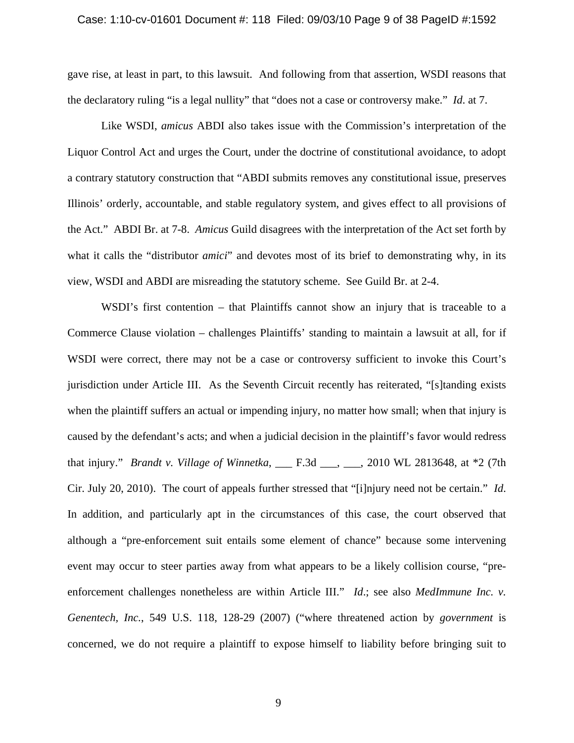#### Case: 1:10-cv-01601 Document #: 118 Filed: 09/03/10 Page 9 of 38 PageID #:1592

gave rise, at least in part, to this lawsuit. And following from that assertion, WSDI reasons that the declaratory ruling "is a legal nullity" that "does not a case or controversy make." *Id*. at 7.

Like WSDI, *amicus* ABDI also takes issue with the Commission's interpretation of the Liquor Control Act and urges the Court, under the doctrine of constitutional avoidance, to adopt a contrary statutory construction that "ABDI submits removes any constitutional issue, preserves Illinois' orderly, accountable, and stable regulatory system, and gives effect to all provisions of the Act." ABDI Br. at 7-8. *Amicus* Guild disagrees with the interpretation of the Act set forth by what it calls the "distributor *amici*" and devotes most of its brief to demonstrating why, in its view, WSDI and ABDI are misreading the statutory scheme. See Guild Br. at 2-4.

WSDI's first contention – that Plaintiffs cannot show an injury that is traceable to a Commerce Clause violation – challenges Plaintiffs' standing to maintain a lawsuit at all, for if WSDI were correct, there may not be a case or controversy sufficient to invoke this Court's jurisdiction under Article III. As the Seventh Circuit recently has reiterated, "[s]tanding exists when the plaintiff suffers an actual or impending injury, no matter how small; when that injury is caused by the defendant's acts; and when a judicial decision in the plaintiff's favor would redress that injury." *Brandt v. Village of Winnetka*, \_\_\_ F.3d \_\_\_, \_\_\_, 2010 WL 2813648, at \*2 (7th Cir. July 20, 2010). The court of appeals further stressed that "[i]njury need not be certain." *Id*. In addition, and particularly apt in the circumstances of this case, the court observed that although a "pre-enforcement suit entails some element of chance" because some intervening event may occur to steer parties away from what appears to be a likely collision course, "preenforcement challenges nonetheless are within Article III." *Id.*; see also *MedImmune Inc. v. Genentech, Inc.*, 549 U.S. 118, 128-29 (2007) ("where threatened action by *government* is concerned, we do not require a plaintiff to expose himself to liability before bringing suit to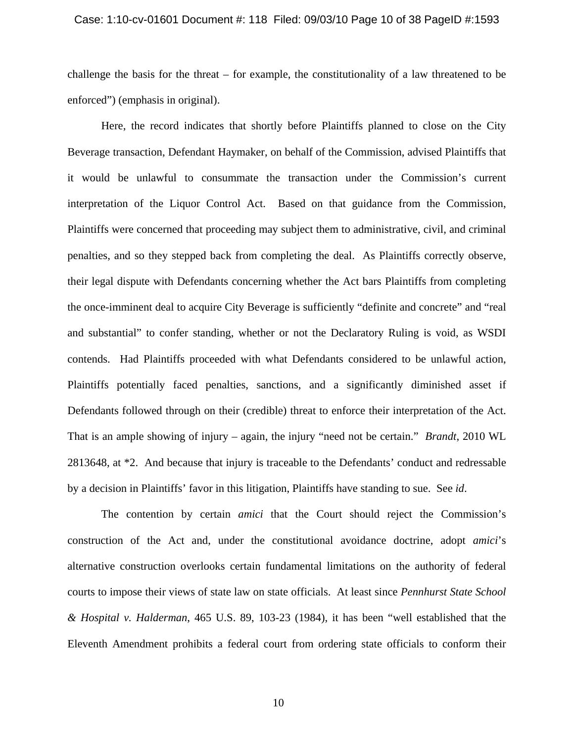#### Case: 1:10-cv-01601 Document #: 118 Filed: 09/03/10 Page 10 of 38 PageID #:1593

challenge the basis for the threat – for example, the constitutionality of a law threatened to be enforced") (emphasis in original).

Here, the record indicates that shortly before Plaintiffs planned to close on the City Beverage transaction, Defendant Haymaker, on behalf of the Commission, advised Plaintiffs that it would be unlawful to consummate the transaction under the Commission's current interpretation of the Liquor Control Act. Based on that guidance from the Commission, Plaintiffs were concerned that proceeding may subject them to administrative, civil, and criminal penalties, and so they stepped back from completing the deal. As Plaintiffs correctly observe, their legal dispute with Defendants concerning whether the Act bars Plaintiffs from completing the once-imminent deal to acquire City Beverage is sufficiently "definite and concrete" and "real and substantial" to confer standing, whether or not the Declaratory Ruling is void, as WSDI contends. Had Plaintiffs proceeded with what Defendants considered to be unlawful action, Plaintiffs potentially faced penalties, sanctions, and a significantly diminished asset if Defendants followed through on their (credible) threat to enforce their interpretation of the Act. That is an ample showing of injury – again, the injury "need not be certain." *Brandt*, 2010 WL 2813648, at \*2. And because that injury is traceable to the Defendants' conduct and redressable by a decision in Plaintiffs' favor in this litigation, Plaintiffs have standing to sue. See *id*.

The contention by certain *amici* that the Court should reject the Commission's construction of the Act and, under the constitutional avoidance doctrine, adopt *amici*'s alternative construction overlooks certain fundamental limitations on the authority of federal courts to impose their views of state law on state officials. At least since *Pennhurst State School & Hospital v. Halderman*, 465 U.S. 89, 103-23 (1984), it has been "well established that the Eleventh Amendment prohibits a federal court from ordering state officials to conform their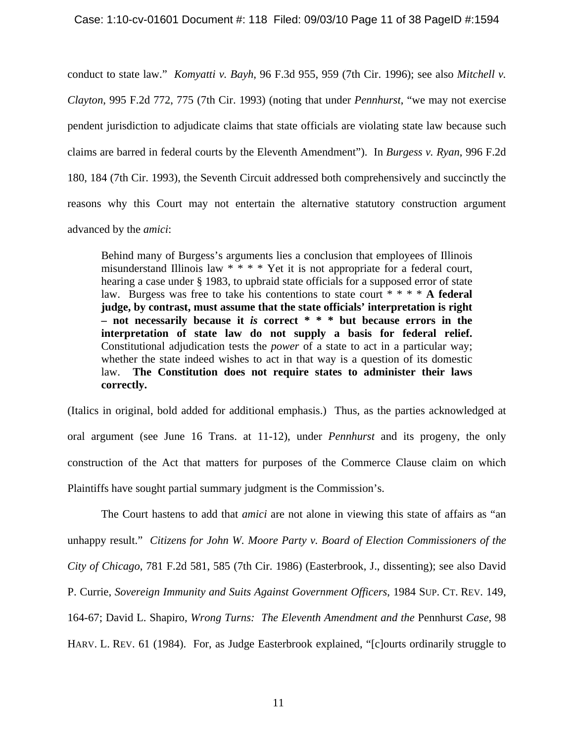conduct to state law." *Komyatti v. Bayh*, 96 F.3d 955, 959 (7th Cir. 1996); see also *Mitchell v. Clayton*, 995 F.2d 772, 775 (7th Cir. 1993) (noting that under *Pennhurst*, "we may not exercise pendent jurisdiction to adjudicate claims that state officials are violating state law because such claims are barred in federal courts by the Eleventh Amendment"). In *Burgess v. Ryan*, 996 F.2d 180, 184 (7th Cir. 1993), the Seventh Circuit addressed both comprehensively and succinctly the reasons why this Court may not entertain the alternative statutory construction argument advanced by the *amici*:

 Behind many of Burgess's arguments lies a conclusion that employees of Illinois misunderstand Illinois law \* \* \* \* Yet it is not appropriate for a federal court, hearing a case under § 1983, to upbraid state officials for a supposed error of state law. Burgess was free to take his contentions to state court \* \* \* \* **A federal judge, by contrast, must assume that the state officials' interpretation is right – not necessarily because it** *is* **correct \* \* \* but because errors in the interpretation of state law do not supply a basis for federal relief.** Constitutional adjudication tests the *power* of a state to act in a particular way; whether the state indeed wishes to act in that way is a question of its domestic law. **The Constitution does not require states to administer their laws correctly.**

(Italics in original, bold added for additional emphasis.) Thus, as the parties acknowledged at oral argument (see June 16 Trans. at 11-12), under *Pennhurst* and its progeny, the only construction of the Act that matters for purposes of the Commerce Clause claim on which Plaintiffs have sought partial summary judgment is the Commission's.

 The Court hastens to add that *amici* are not alone in viewing this state of affairs as "an unhappy result." *Citizens for John W. Moore Party v. Board of Election Commissioners of the City of Chicago*, 781 F.2d 581, 585 (7th Cir. 1986) (Easterbrook, J., dissenting); see also David P. Currie, *Sovereign Immunity and Suits Against Government Officers*, 1984 SUP. CT. REV. 149, 164-67; David L. Shapiro, *Wrong Turns: The Eleventh Amendment and the* Pennhurst *Case*, 98 HARV. L. REV. 61 (1984). For, as Judge Easterbrook explained, "[c]ourts ordinarily struggle to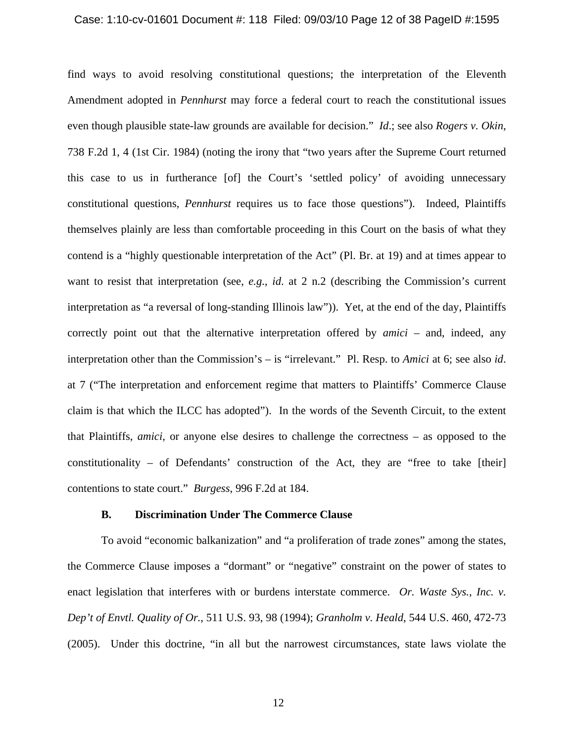#### Case: 1:10-cv-01601 Document #: 118 Filed: 09/03/10 Page 12 of 38 PageID #:1595

find ways to avoid resolving constitutional questions; the interpretation of the Eleventh Amendment adopted in *Pennhurst* may force a federal court to reach the constitutional issues even though plausible state-law grounds are available for decision." *Id*.; see also *Rogers v. Okin*, 738 F.2d 1, 4 (1st Cir. 1984) (noting the irony that "two years after the Supreme Court returned this case to us in furtherance [of] the Court's 'settled policy' of avoiding unnecessary constitutional questions, *Pennhurst* requires us to face those questions"). Indeed, Plaintiffs themselves plainly are less than comfortable proceeding in this Court on the basis of what they contend is a "highly questionable interpretation of the Act" (Pl. Br. at 19) and at times appear to want to resist that interpretation (see, *e.g.*, *id*. at 2 n.2 (describing the Commission's current interpretation as "a reversal of long-standing Illinois law")). Yet, at the end of the day, Plaintiffs correctly point out that the alternative interpretation offered by *amici* – and, indeed, any interpretation other than the Commission's – is "irrelevant." Pl. Resp. to *Amici* at 6; see also *id*. at 7 ("The interpretation and enforcement regime that matters to Plaintiffs' Commerce Clause claim is that which the ILCC has adopted"). In the words of the Seventh Circuit, to the extent that Plaintiffs, *amici*, or anyone else desires to challenge the correctness – as opposed to the constitutionality – of Defendants' construction of the Act, they are "free to take [their] contentions to state court." *Burgess*, 996 F.2d at 184.

## **B. Discrimination Under The Commerce Clause**

To avoid "economic balkanization" and "a proliferation of trade zones" among the states, the Commerce Clause imposes a "dormant" or "negative" constraint on the power of states to enact legislation that interferes with or burdens interstate commerce. *Or. Waste Sys., Inc. v. Dep't of Envtl. Quality of Or.*, 511 U.S. 93, 98 (1994); *Granholm v. Heald*, 544 U.S. 460, 472-73 (2005). Under this doctrine, "in all but the narrowest circumstances, state laws violate the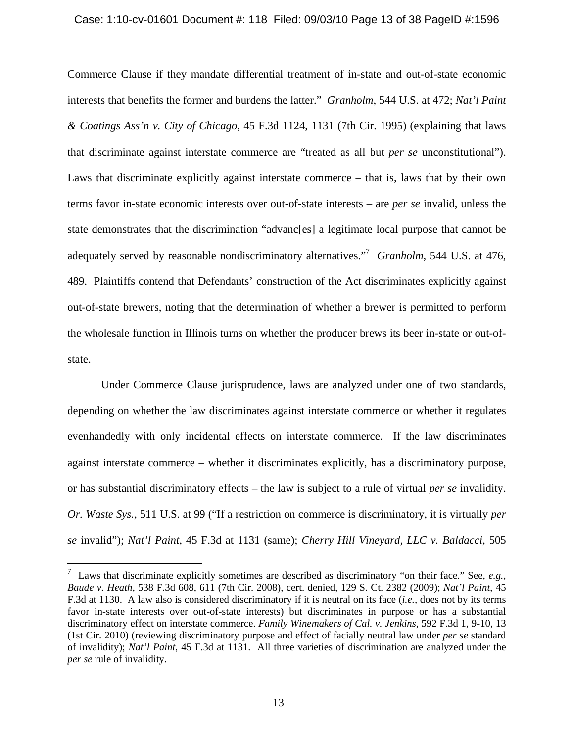#### Case: 1:10-cv-01601 Document #: 118 Filed: 09/03/10 Page 13 of 38 PageID #:1596

Commerce Clause if they mandate differential treatment of in-state and out-of-state economic interests that benefits the former and burdens the latter." *Granholm*, 544 U.S. at 472; *Nat'l Paint & Coatings Ass'n v. City of Chicago*, 45 F.3d 1124, 1131 (7th Cir. 1995) (explaining that laws that discriminate against interstate commerce are "treated as all but *per se* unconstitutional"). Laws that discriminate explicitly against interstate commerce – that is, laws that by their own terms favor in-state economic interests over out-of-state interests – are *per se* invalid, unless the state demonstrates that the discrimination "advanc[es] a legitimate local purpose that cannot be adequately served by reasonable nondiscriminatory alternatives.<sup>"7</sup> Granholm, 544 U.S. at 476, 489. Plaintiffs contend that Defendants' construction of the Act discriminates explicitly against out-of-state brewers, noting that the determination of whether a brewer is permitted to perform the wholesale function in Illinois turns on whether the producer brews its beer in-state or out-ofstate.

Under Commerce Clause jurisprudence, laws are analyzed under one of two standards, depending on whether the law discriminates against interstate commerce or whether it regulates evenhandedly with only incidental effects on interstate commerce. If the law discriminates against interstate commerce – whether it discriminates explicitly, has a discriminatory purpose, or has substantial discriminatory effects – the law is subject to a rule of virtual *per se* invalidity. *Or. Waste Sys.*, 511 U.S. at 99 ("If a restriction on commerce is discriminatory, it is virtually *per se* invalid"); *Nat'l Paint*, 45 F.3d at 1131 (same); *Cherry Hill Vineyard, LLC v. Baldacci*, 505

1

<sup>7</sup> Laws that discriminate explicitly sometimes are described as discriminatory "on their face." See, *e.g., Baude v. Heath*, 538 F.3d 608, 611 (7th Cir. 2008), cert. denied, 129 S. Ct. 2382 (2009); *Nat'l Paint*, 45 F.3d at 1130. A law also is considered discriminatory if it is neutral on its face (*i.e.,* does not by its terms favor in-state interests over out-of-state interests) but discriminates in purpose or has a substantial discriminatory effect on interstate commerce. *Family Winemakers of Cal. v. Jenkins*, 592 F.3d 1, 9-10, 13 (1st Cir. 2010) (reviewing discriminatory purpose and effect of facially neutral law under *per se* standard of invalidity); *Nat'l Paint*, 45 F.3d at 1131. All three varieties of discrimination are analyzed under the *per se* rule of invalidity.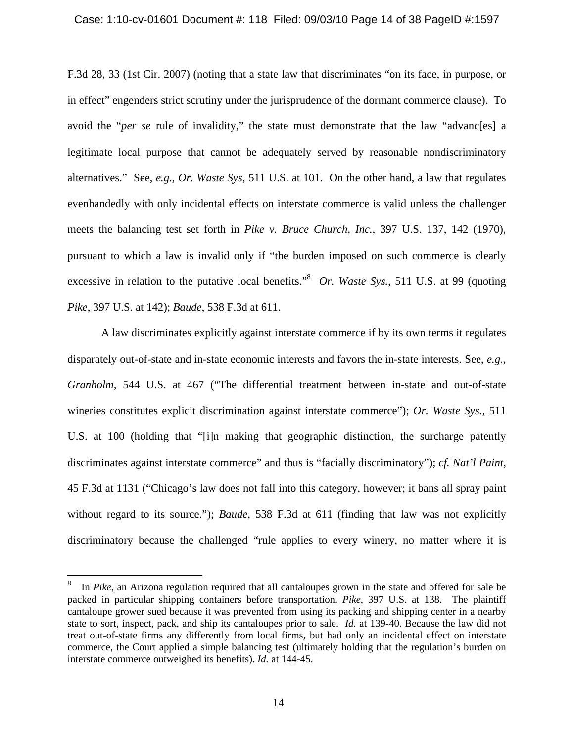#### Case: 1:10-cv-01601 Document #: 118 Filed: 09/03/10 Page 14 of 38 PageID #:1597

F.3d 28, 33 (1st Cir. 2007) (noting that a state law that discriminates "on its face, in purpose, or in effect" engenders strict scrutiny under the jurisprudence of the dormant commerce clause). To avoid the "*per se* rule of invalidity," the state must demonstrate that the law "advanc[es] a legitimate local purpose that cannot be adequately served by reasonable nondiscriminatory alternatives." See, *e.g., Or. Waste Sys*, 511 U.S. at 101. On the other hand, a law that regulates evenhandedly with only incidental effects on interstate commerce is valid unless the challenger meets the balancing test set forth in *Pike v. Bruce Church, Inc.*, 397 U.S. 137, 142 (1970), pursuant to which a law is invalid only if "the burden imposed on such commerce is clearly excessive in relation to the putative local benefits.<sup>38</sup> Or. Waste Sys., 511 U.S. at 99 (quoting *Pike*, 397 U.S. at 142); *Baude*, 538 F.3d at 611.

A law discriminates explicitly against interstate commerce if by its own terms it regulates disparately out-of-state and in-state economic interests and favors the in-state interests. See, *e.g., Granholm*, 544 U.S. at 467 ("The differential treatment between in-state and out-of-state wineries constitutes explicit discrimination against interstate commerce"); *Or. Waste Sys.*, 511 U.S. at 100 (holding that "[i]n making that geographic distinction, the surcharge patently discriminates against interstate commerce" and thus is "facially discriminatory"); *cf. Nat'l Paint*, 45 F.3d at 1131 ("Chicago's law does not fall into this category, however; it bans all spray paint without regard to its source."); *Baude*, 538 F.3d at 611 (finding that law was not explicitly discriminatory because the challenged "rule applies to every winery, no matter where it is

1

<sup>8</sup> In *Pike*, an Arizona regulation required that all cantaloupes grown in the state and offered for sale be packed in particular shipping containers before transportation. *Pike*, 397 U.S. at 138. The plaintiff cantaloupe grower sued because it was prevented from using its packing and shipping center in a nearby state to sort, inspect, pack, and ship its cantaloupes prior to sale. *Id.* at 139-40. Because the law did not treat out-of-state firms any differently from local firms, but had only an incidental effect on interstate commerce, the Court applied a simple balancing test (ultimately holding that the regulation's burden on interstate commerce outweighed its benefits). *Id.* at 144-45.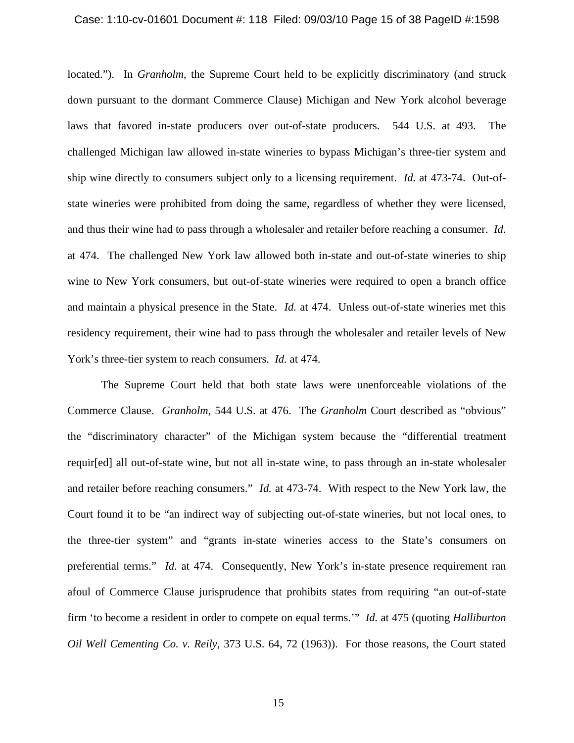#### Case: 1:10-cv-01601 Document #: 118 Filed: 09/03/10 Page 15 of 38 PageID #:1598

located."). In *Granholm*, the Supreme Court held to be explicitly discriminatory (and struck down pursuant to the dormant Commerce Clause) Michigan and New York alcohol beverage laws that favored in-state producers over out-of-state producers. 544 U.S. at 493. The challenged Michigan law allowed in-state wineries to bypass Michigan's three-tier system and ship wine directly to consumers subject only to a licensing requirement. *Id.* at 473-74. Out-ofstate wineries were prohibited from doing the same, regardless of whether they were licensed, and thus their wine had to pass through a wholesaler and retailer before reaching a consumer. *Id.*  at 474. The challenged New York law allowed both in-state and out-of-state wineries to ship wine to New York consumers, but out-of-state wineries were required to open a branch office and maintain a physical presence in the State. *Id.* at 474. Unless out-of-state wineries met this residency requirement, their wine had to pass through the wholesaler and retailer levels of New York's three-tier system to reach consumers. *Id.* at 474.

The Supreme Court held that both state laws were unenforceable violations of the Commerce Clause. *Granholm*, 544 U.S. at 476. The *Granholm* Court described as "obvious" the "discriminatory character" of the Michigan system because the "differential treatment requir[ed] all out-of-state wine, but not all in-state wine, to pass through an in-state wholesaler and retailer before reaching consumers." *Id.* at 473-74. With respect to the New York law, the Court found it to be "an indirect way of subjecting out-of-state wineries, but not local ones, to the three-tier system" and "grants in-state wineries access to the State's consumers on preferential terms." *Id.* at 474. Consequently, New York's in-state presence requirement ran afoul of Commerce Clause jurisprudence that prohibits states from requiring "an out-of-state firm 'to become a resident in order to compete on equal terms.'" *Id.* at 475 (quoting *Halliburton Oil Well Cementing Co. v. Reily*, 373 U.S. 64, 72 (1963)). For those reasons, the Court stated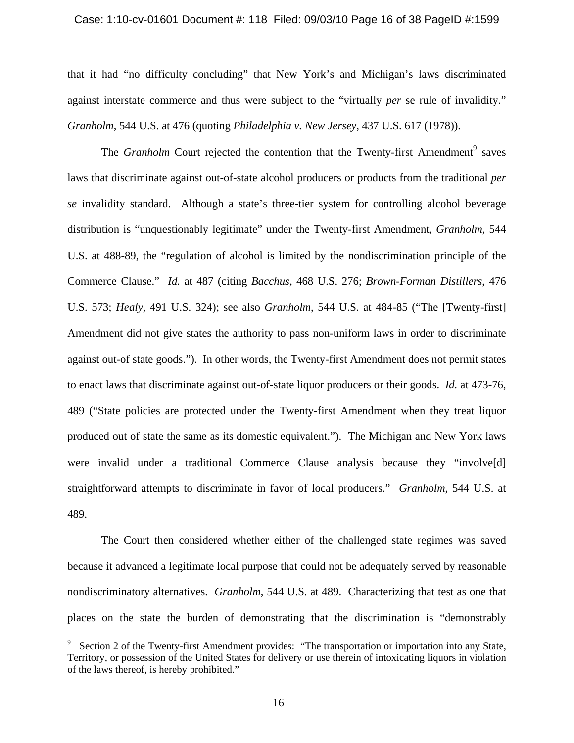### Case: 1:10-cv-01601 Document #: 118 Filed: 09/03/10 Page 16 of 38 PageID #:1599

that it had "no difficulty concluding" that New York's and Michigan's laws discriminated against interstate commerce and thus were subject to the "virtually *per* se rule of invalidity." *Granholm*, 544 U.S. at 476 (quoting *Philadelphia v. New Jersey*, 437 U.S. 617 (1978)).

The *Granholm* Court rejected the contention that the Twenty-first Amendment<sup>9</sup> saves laws that discriminate against out-of-state alcohol producers or products from the traditional *per se* invalidity standard. Although a state's three-tier system for controlling alcohol beverage distribution is "unquestionably legitimate" under the Twenty-first Amendment, *Granholm*, 544 U.S. at 488-89, the "regulation of alcohol is limited by the nondiscrimination principle of the Commerce Clause." *Id.* at 487 (citing *Bacchus,* 468 U.S. 276; *Brown-Forman Distillers*, 476 U.S. 573; *Healy*, 491 U.S. 324); see also *Granholm*, 544 U.S. at 484-85 ("The [Twenty-first] Amendment did not give states the authority to pass non-uniform laws in order to discriminate against out-of state goods."). In other words, the Twenty-first Amendment does not permit states to enact laws that discriminate against out-of-state liquor producers or their goods. *Id.* at 473-76, 489 ("State policies are protected under the Twenty-first Amendment when they treat liquor produced out of state the same as its domestic equivalent."). The Michigan and New York laws were invalid under a traditional Commerce Clause analysis because they "involve[d] straightforward attempts to discriminate in favor of local producers." *Granholm*, 544 U.S. at 489.

The Court then considered whether either of the challenged state regimes was saved because it advanced a legitimate local purpose that could not be adequately served by reasonable nondiscriminatory alternatives. *Granholm*, 544 U.S. at 489. Characterizing that test as one that places on the state the burden of demonstrating that the discrimination is "demonstrably

1

<sup>9</sup> Section 2 of the Twenty-first Amendment provides: "The transportation or importation into any State, Territory, or possession of the United States for delivery or use therein of intoxicating liquors in violation of the laws thereof, is hereby prohibited."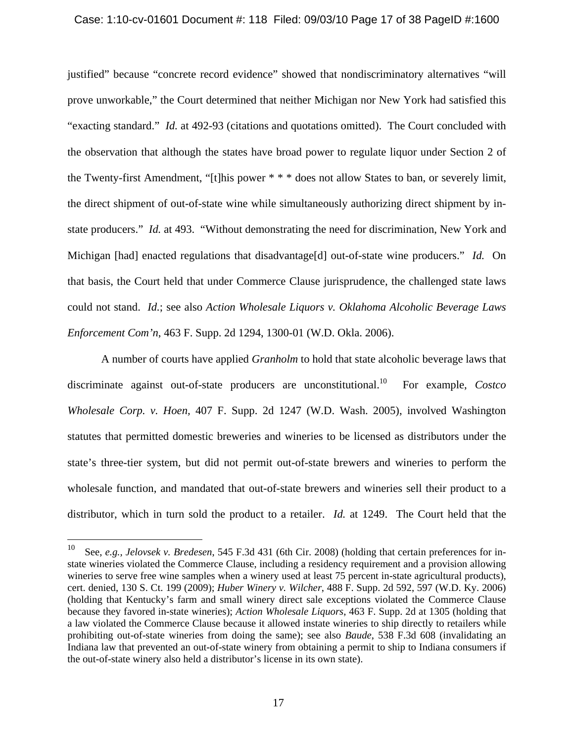## Case: 1:10-cv-01601 Document #: 118 Filed: 09/03/10 Page 17 of 38 PageID #:1600

justified" because "concrete record evidence" showed that nondiscriminatory alternatives "will prove unworkable," the Court determined that neither Michigan nor New York had satisfied this "exacting standard." *Id.* at 492-93 (citations and quotations omitted). The Court concluded with the observation that although the states have broad power to regulate liquor under Section 2 of the Twenty-first Amendment, "[t]his power \* \* \* does not allow States to ban, or severely limit, the direct shipment of out-of-state wine while simultaneously authorizing direct shipment by instate producers." *Id.* at 493. "Without demonstrating the need for discrimination, New York and Michigan [had] enacted regulations that disadvantage<sup>[d]</sup> out-of-state wine producers." *Id.* On that basis, the Court held that under Commerce Clause jurisprudence, the challenged state laws could not stand. *Id.*; see also *Action Wholesale Liquors v. Oklahoma Alcoholic Beverage Laws Enforcement Com'n*, 463 F. Supp. 2d 1294, 1300-01 (W.D. Okla. 2006).

A number of courts have applied *Granholm* to hold that state alcoholic beverage laws that discriminate against out-of-state producers are unconstitutional.10 For example, *Costco Wholesale Corp. v. Hoen,* 407 F. Supp. 2d 1247 (W.D. Wash. 2005), involved Washington statutes that permitted domestic breweries and wineries to be licensed as distributors under the state's three-tier system, but did not permit out-of-state brewers and wineries to perform the wholesale function, and mandated that out-of-state brewers and wineries sell their product to a distributor, which in turn sold the product to a retailer. *Id.* at 1249. The Court held that the

 $10\,$ 10 See, *e.g., Jelovsek v. Bredesen*, 545 F.3d 431 (6th Cir. 2008) (holding that certain preferences for instate wineries violated the Commerce Clause, including a residency requirement and a provision allowing wineries to serve free wine samples when a winery used at least 75 percent in-state agricultural products), cert. denied, 130 S. Ct. 199 (2009); *Huber Winery v. Wilcher*, 488 F. Supp. 2d 592, 597 (W.D. Ky. 2006) (holding that Kentucky's farm and small winery direct sale exceptions violated the Commerce Clause because they favored in-state wineries); *Action Wholesale Liquors*, 463 F. Supp. 2d at 1305 (holding that a law violated the Commerce Clause because it allowed instate wineries to ship directly to retailers while prohibiting out-of-state wineries from doing the same); see also *Baude*, 538 F.3d 608 (invalidating an Indiana law that prevented an out-of-state winery from obtaining a permit to ship to Indiana consumers if the out-of-state winery also held a distributor's license in its own state).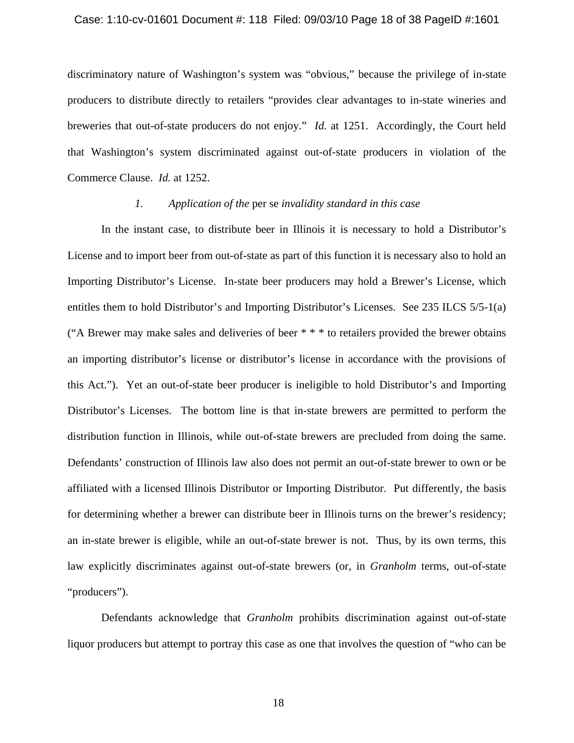#### Case: 1:10-cv-01601 Document #: 118 Filed: 09/03/10 Page 18 of 38 PageID #:1601

discriminatory nature of Washington's system was "obvious," because the privilege of in-state producers to distribute directly to retailers "provides clear advantages to in-state wineries and breweries that out-of-state producers do not enjoy." *Id.* at 1251.Accordingly, the Court held that Washington's system discriminated against out-of-state producers in violation of the Commerce Clause. *Id.* at 1252.

# *1. Application of the* per se *invalidity standard in this case*

In the instant case, to distribute beer in Illinois it is necessary to hold a Distributor's License and to import beer from out-of-state as part of this function it is necessary also to hold an Importing Distributor's License. In-state beer producers may hold a Brewer's License, which entitles them to hold Distributor's and Importing Distributor's Licenses. See 235 ILCS 5/5-1(a) ("A Brewer may make sales and deliveries of beer \* \* \* to retailers provided the brewer obtains an importing distributor's license or distributor's license in accordance with the provisions of this Act."). Yet an out-of-state beer producer is ineligible to hold Distributor's and Importing Distributor's Licenses. The bottom line is that in-state brewers are permitted to perform the distribution function in Illinois, while out-of-state brewers are precluded from doing the same. Defendants' construction of Illinois law also does not permit an out-of-state brewer to own or be affiliated with a licensed Illinois Distributor or Importing Distributor. Put differently, the basis for determining whether a brewer can distribute beer in Illinois turns on the brewer's residency; an in-state brewer is eligible, while an out-of-state brewer is not. Thus, by its own terms, this law explicitly discriminates against out-of-state brewers (or, in *Granholm* terms, out-of-state "producers").

Defendants acknowledge that *Granholm* prohibits discrimination against out-of-state liquor producers but attempt to portray this case as one that involves the question of "who can be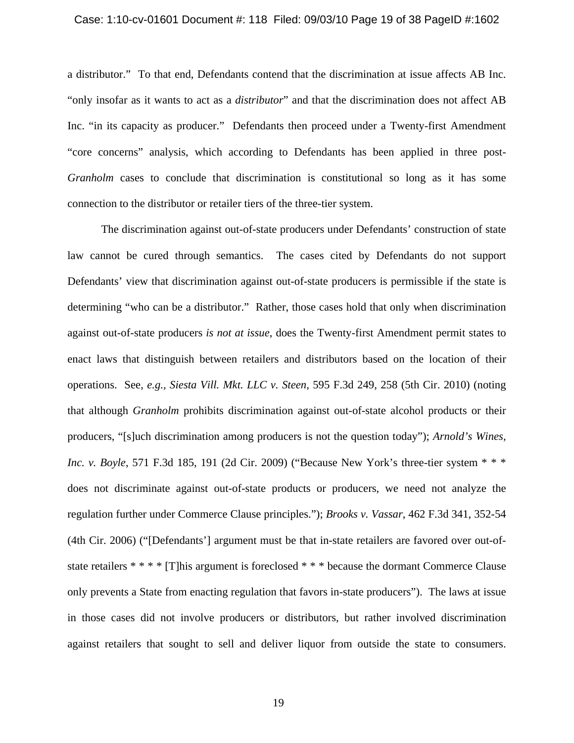#### Case: 1:10-cv-01601 Document #: 118 Filed: 09/03/10 Page 19 of 38 PageID #:1602

a distributor." To that end, Defendants contend that the discrimination at issue affects AB Inc. "only insofar as it wants to act as a *distributor*" and that the discrimination does not affect AB Inc. "in its capacity as producer." Defendants then proceed under a Twenty-first Amendment "core concerns" analysis, which according to Defendants has been applied in three post-*Granholm* cases to conclude that discrimination is constitutional so long as it has some connection to the distributor or retailer tiers of the three-tier system.

The discrimination against out-of-state producers under Defendants' construction of state law cannot be cured through semantics. The cases cited by Defendants do not support Defendants' view that discrimination against out-of-state producers is permissible if the state is determining "who can be a distributor." Rather, those cases hold that only when discrimination against out-of-state producers *is not at issue*, does the Twenty-first Amendment permit states to enact laws that distinguish between retailers and distributors based on the location of their operations. See, *e.g., Siesta Vill. Mkt. LLC v. Steen*, 595 F.3d 249, 258 (5th Cir. 2010) (noting that although *Granholm* prohibits discrimination against out-of-state alcohol products or their producers, "[s]uch discrimination among producers is not the question today"); *Arnold's Wines, Inc. v. Boyle*, 571 F.3d 185, 191 (2d Cir. 2009) ("Because New York's three-tier system \* \* \* does not discriminate against out-of-state products or producers, we need not analyze the regulation further under Commerce Clause principles."); *Brooks v. Vassar*, 462 F.3d 341, 352-54 (4th Cir. 2006) ("[Defendants'] argument must be that in-state retailers are favored over out-ofstate retailers \* \* \* \* [T]his argument is foreclosed \* \* \* because the dormant Commerce Clause only prevents a State from enacting regulation that favors in-state producers"). The laws at issue in those cases did not involve producers or distributors, but rather involved discrimination against retailers that sought to sell and deliver liquor from outside the state to consumers.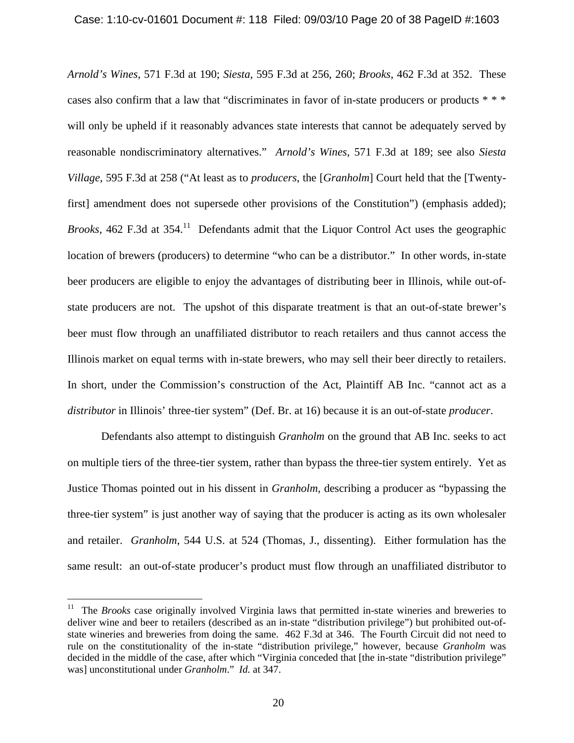*Arnold's Wines*, 571 F.3d at 190; *Siesta*, 595 F.3d at 256, 260; *Brooks*, 462 F.3d at 352. These cases also confirm that a law that "discriminates in favor of in-state producers or products \* \* \* will only be upheld if it reasonably advances state interests that cannot be adequately served by reasonable nondiscriminatory alternatives." *Arnold's Wines*, 571 F.3d at 189; see also *Siesta Village*, 595 F.3d at 258 ("At least as to *producers*, the [*Granholm*] Court held that the [Twentyfirst] amendment does not supersede other provisions of the Constitution") (emphasis added); *Brooks*, 462 F.3d at 354.<sup>11</sup> Defendants admit that the Liquor Control Act uses the geographic location of brewers (producers) to determine "who can be a distributor." In other words, in-state beer producers are eligible to enjoy the advantages of distributing beer in Illinois, while out-ofstate producers are not. The upshot of this disparate treatment is that an out-of-state brewer's beer must flow through an unaffiliated distributor to reach retailers and thus cannot access the Illinois market on equal terms with in-state brewers, who may sell their beer directly to retailers. In short, under the Commission's construction of the Act, Plaintiff AB Inc. "cannot act as a *distributor* in Illinois' three-tier system" (Def. Br. at 16) because it is an out-of-state *producer*.

Defendants also attempt to distinguish *Granholm* on the ground that AB Inc. seeks to act on multiple tiers of the three-tier system, rather than bypass the three-tier system entirely. Yet as Justice Thomas pointed out in his dissent in *Granholm,* describing a producer as "bypassing the three-tier system" is just another way of saying that the producer is acting as its own wholesaler and retailer. *Granholm*, 544 U.S. at 524 (Thomas, J., dissenting). Either formulation has the same result: an out-of-state producer's product must flow through an unaffiliated distributor to

 $\overline{a}$ 

<sup>&</sup>lt;sup>11</sup> The *Brooks* case originally involved Virginia laws that permitted in-state wineries and breweries to deliver wine and beer to retailers (described as an in-state "distribution privilege") but prohibited out-ofstate wineries and breweries from doing the same. 462 F.3d at 346. The Fourth Circuit did not need to rule on the constitutionality of the in-state "distribution privilege," however, because *Granholm* was decided in the middle of the case, after which "Virginia conceded that [the in-state "distribution privilege" was] unconstitutional under *Granholm*." *Id.* at 347.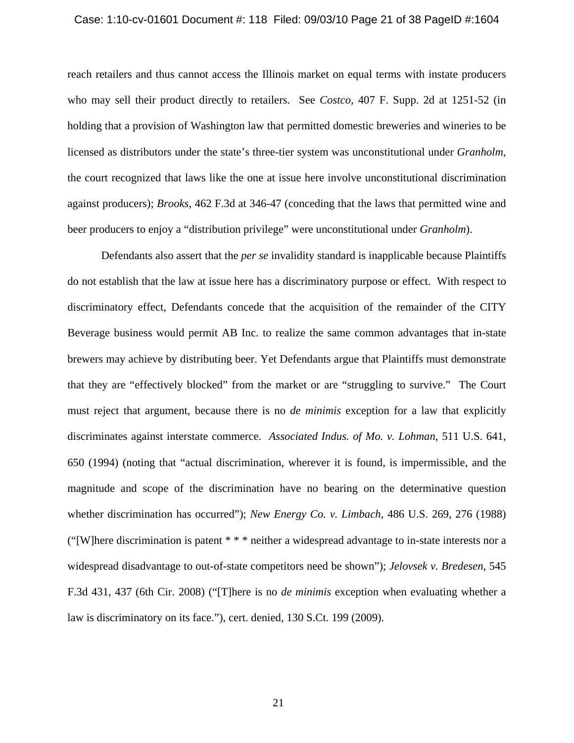#### Case: 1:10-cv-01601 Document #: 118 Filed: 09/03/10 Page 21 of 38 PageID #:1604

reach retailers and thus cannot access the Illinois market on equal terms with instate producers who may sell their product directly to retailers. See *Costco,* 407 F. Supp. 2d at 1251-52 (in holding that a provision of Washington law that permitted domestic breweries and wineries to be licensed as distributors under the state's three-tier system was unconstitutional under *Granholm*, the court recognized that laws like the one at issue here involve unconstitutional discrimination against producers); *Brooks*, 462 F.3d at 346-47 (conceding that the laws that permitted wine and beer producers to enjoy a "distribution privilege" were unconstitutional under *Granholm*).

Defendants also assert that the *per se* invalidity standard is inapplicable because Plaintiffs do not establish that the law at issue here has a discriminatory purpose or effect. With respect to discriminatory effect, Defendants concede that the acquisition of the remainder of the CITY Beverage business would permit AB Inc. to realize the same common advantages that in-state brewers may achieve by distributing beer. Yet Defendants argue that Plaintiffs must demonstrate that they are "effectively blocked" from the market or are "struggling to survive." The Court must reject that argument, because there is no *de minimis* exception for a law that explicitly discriminates against interstate commerce. *Associated Indus. of Mo. v. Lohman*, 511 U.S. 641, 650 (1994) (noting that "actual discrimination, wherever it is found, is impermissible, and the magnitude and scope of the discrimination have no bearing on the determinative question whether discrimination has occurred"); *New Energy Co. v. Limbach*, 486 U.S. 269, 276 (1988) ("[W]here discrimination is patent \* \* \* neither a widespread advantage to in-state interests nor a widespread disadvantage to out-of-state competitors need be shown"); *Jelovsek v. Bredesen*, 545 F.3d 431, 437 (6th Cir. 2008) ("[T]here is no *de minimis* exception when evaluating whether a law is discriminatory on its face."), cert. denied, 130 S.Ct. 199 (2009).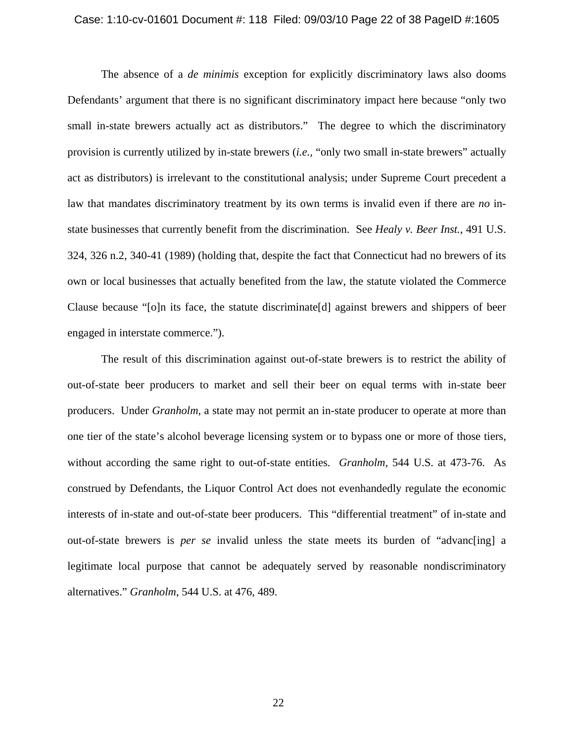#### Case: 1:10-cv-01601 Document #: 118 Filed: 09/03/10 Page 22 of 38 PageID #:1605

The absence of a *de minimis* exception for explicitly discriminatory laws also dooms Defendants' argument that there is no significant discriminatory impact here because "only two small in-state brewers actually act as distributors." The degree to which the discriminatory provision is currently utilized by in-state brewers (*i.e.,* "only two small in-state brewers" actually act as distributors) is irrelevant to the constitutional analysis; under Supreme Court precedent a law that mandates discriminatory treatment by its own terms is invalid even if there are *no* instate businesses that currently benefit from the discrimination. See *Healy v. Beer Inst.*, 491 U.S. 324, 326 n.2, 340-41 (1989) (holding that, despite the fact that Connecticut had no brewers of its own or local businesses that actually benefited from the law, the statute violated the Commerce Clause because "[o]n its face, the statute discriminate[d] against brewers and shippers of beer engaged in interstate commerce.").

The result of this discrimination against out-of-state brewers is to restrict the ability of out-of-state beer producers to market and sell their beer on equal terms with in-state beer producers. Under *Granholm*, a state may not permit an in-state producer to operate at more than one tier of the state's alcohol beverage licensing system or to bypass one or more of those tiers, without according the same right to out-of-state entities. *Granholm*, 544 U.S. at 473-76. As construed by Defendants, the Liquor Control Act does not evenhandedly regulate the economic interests of in-state and out-of-state beer producers. This "differential treatment" of in-state and out-of-state brewers is *per se* invalid unless the state meets its burden of "advanc[ing] a legitimate local purpose that cannot be adequately served by reasonable nondiscriminatory alternatives." *Granholm*, 544 U.S. at 476, 489.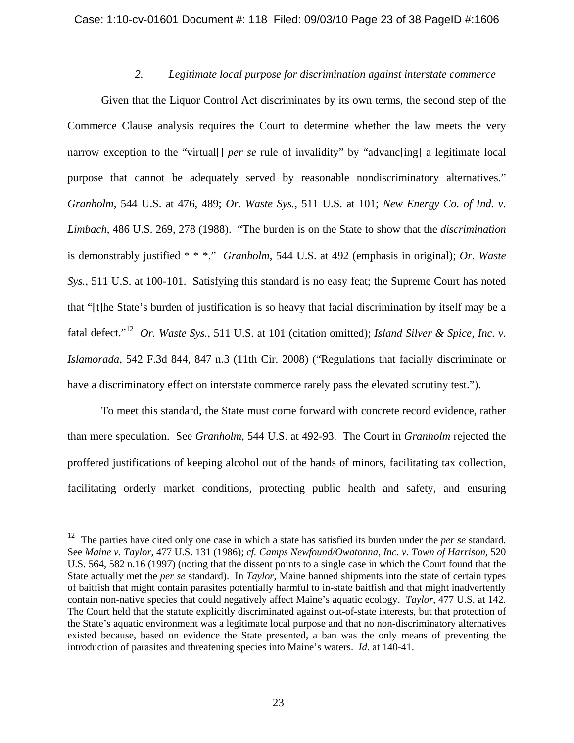# *2. Legitimate local purpose for discrimination against interstate commerce*

Given that the Liquor Control Act discriminates by its own terms, the second step of the Commerce Clause analysis requires the Court to determine whether the law meets the very narrow exception to the "virtual<sup>[]</sup> *per se* rule of invalidity" by "advances" a legitimate local purpose that cannot be adequately served by reasonable nondiscriminatory alternatives." *Granholm*, 544 U.S. at 476, 489; *Or. Waste Sys.*, 511 U.S. at 101; *New Energy Co. of Ind. v. Limbach*, 486 U.S. 269, 278 (1988). "The burden is on the State to show that the *discrimination*  is demonstrably justified \* \* \*." *Granholm*, 544 U.S. at 492 (emphasis in original); *Or. Waste Sys.*, 511 U.S. at 100-101. Satisfying this standard is no easy feat; the Supreme Court has noted that "[t]he State's burden of justification is so heavy that facial discrimination by itself may be a fatal defect."12 *Or. Waste Sys.*, 511 U.S. at 101 (citation omitted); *Island Silver & Spice, Inc. v. Islamorada*, 542 F.3d 844, 847 n.3 (11th Cir. 2008) ("Regulations that facially discriminate or have a discriminatory effect on interstate commerce rarely pass the elevated scrutiny test.").

To meet this standard, the State must come forward with concrete record evidence, rather than mere speculation. See *Granholm*, 544 U.S. at 492-93. The Court in *Granholm* rejected the proffered justifications of keeping alcohol out of the hands of minors, facilitating tax collection, facilitating orderly market conditions, protecting public health and safety, and ensuring

 $\overline{a}$ 

<sup>12</sup> The parties have cited only one case in which a state has satisfied its burden under the *per se* standard. See *Maine v. Taylor*, 477 U.S. 131 (1986); *cf. Camps Newfound/Owatonna, Inc. v. Town of Harrison*, 520 U.S. 564, 582 n.16 (1997) (noting that the dissent points to a single case in which the Court found that the State actually met the *per se* standard). In *Taylor*, Maine banned shipments into the state of certain types of baitfish that might contain parasites potentially harmful to in-state baitfish and that might inadvertently contain non-native species that could negatively affect Maine's aquatic ecology. *Taylor*, 477 U.S. at 142. The Court held that the statute explicitly discriminated against out-of-state interests, but that protection of the State's aquatic environment was a legitimate local purpose and that no non-discriminatory alternatives existed because, based on evidence the State presented, a ban was the only means of preventing the introduction of parasites and threatening species into Maine's waters. *Id.* at 140-41.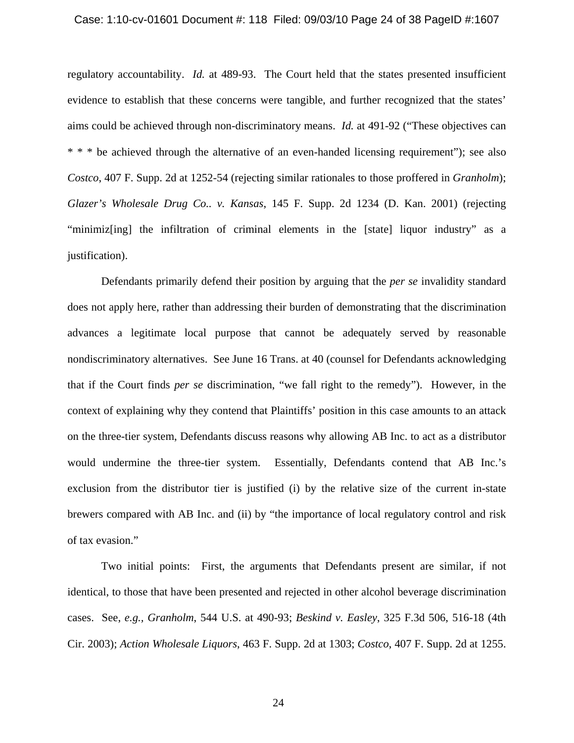#### Case: 1:10-cv-01601 Document #: 118 Filed: 09/03/10 Page 24 of 38 PageID #:1607

regulatory accountability. *Id.* at 489-93. The Court held that the states presented insufficient evidence to establish that these concerns were tangible, and further recognized that the states' aims could be achieved through non-discriminatory means. *Id.* at 491-92 ("These objectives can \* \* \* be achieved through the alternative of an even-handed licensing requirement"); see also *Costco*, 407 F. Supp. 2d at 1252-54 (rejecting similar rationales to those proffered in *Granholm*); *Glazer's Wholesale Drug Co.. v. Kansas*, 145 F. Supp. 2d 1234 (D. Kan. 2001) (rejecting "minimiz[ing] the infiltration of criminal elements in the [state] liquor industry" as a justification).

Defendants primarily defend their position by arguing that the *per se* invalidity standard does not apply here, rather than addressing their burden of demonstrating that the discrimination advances a legitimate local purpose that cannot be adequately served by reasonable nondiscriminatory alternatives. See June 16 Trans. at 40 (counsel for Defendants acknowledging that if the Court finds *per se* discrimination, "we fall right to the remedy"). However, in the context of explaining why they contend that Plaintiffs' position in this case amounts to an attack on the three-tier system, Defendants discuss reasons why allowing AB Inc. to act as a distributor would undermine the three-tier system. Essentially, Defendants contend that AB Inc.'s exclusion from the distributor tier is justified (i) by the relative size of the current in-state brewers compared with AB Inc. and (ii) by "the importance of local regulatory control and risk of tax evasion."

Two initial points: First, the arguments that Defendants present are similar, if not identical, to those that have been presented and rejected in other alcohol beverage discrimination cases. See, *e.g., Granholm*, 544 U.S. at 490-93; *Beskind v. Easley*, 325 F.3d 506, 516-18 (4th Cir. 2003); *Action Wholesale Liquors*, 463 F. Supp. 2d at 1303; *Costco*, 407 F. Supp. 2d at 1255.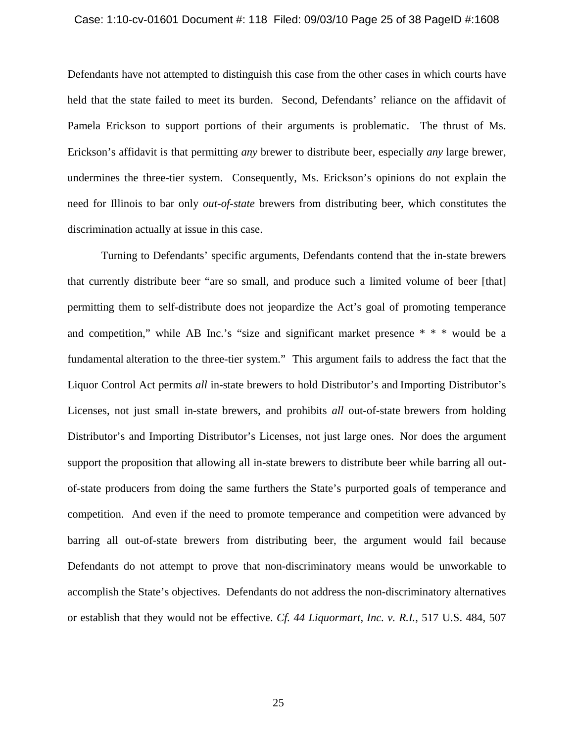#### Case: 1:10-cv-01601 Document #: 118 Filed: 09/03/10 Page 25 of 38 PageID #:1608

Defendants have not attempted to distinguish this case from the other cases in which courts have held that the state failed to meet its burden. Second, Defendants' reliance on the affidavit of Pamela Erickson to support portions of their arguments is problematic. The thrust of Ms. Erickson's affidavit is that permitting *any* brewer to distribute beer, especially *any* large brewer, undermines the three-tier system. Consequently, Ms. Erickson's opinions do not explain the need for Illinois to bar only *out-of-state* brewers from distributing beer, which constitutes the discrimination actually at issue in this case.

Turning to Defendants' specific arguments, Defendants contend that the in-state brewers that currently distribute beer "are so small, and produce such a limited volume of beer [that] permitting them to self-distribute does not jeopardize the Act's goal of promoting temperance and competition," while AB Inc.'s "size and significant market presence \* \* \* would be a fundamental alteration to the three-tier system." This argument fails to address the fact that the Liquor Control Act permits *all* in-state brewers to hold Distributor's and Importing Distributor's Licenses, not just small in-state brewers, and prohibits *all* out-of-state brewers from holding Distributor's and Importing Distributor's Licenses, not just large ones. Nor does the argument support the proposition that allowing all in-state brewers to distribute beer while barring all outof-state producers from doing the same furthers the State's purported goals of temperance and competition. And even if the need to promote temperance and competition were advanced by barring all out-of-state brewers from distributing beer, the argument would fail because Defendants do not attempt to prove that non-discriminatory means would be unworkable to accomplish the State's objectives. Defendants do not address the non-discriminatory alternatives or establish that they would not be effective. *Cf. 44 Liquormart, Inc. v. R.I.*, 517 U.S. 484, 507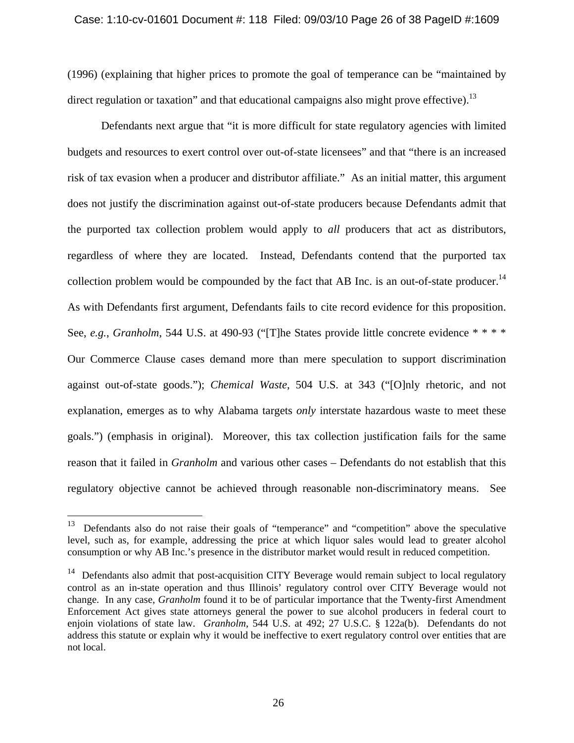(1996) (explaining that higher prices to promote the goal of temperance can be "maintained by direct regulation or taxation" and that educational campaigns also might prove effective).<sup>13</sup>

Defendants next argue that "it is more difficult for state regulatory agencies with limited budgets and resources to exert control over out-of-state licensees" and that "there is an increased risk of tax evasion when a producer and distributor affiliate." As an initial matter, this argument does not justify the discrimination against out-of-state producers because Defendants admit that the purported tax collection problem would apply to *all* producers that act as distributors, regardless of where they are located. Instead, Defendants contend that the purported tax collection problem would be compounded by the fact that AB Inc. is an out-of-state producer.<sup>14</sup> As with Defendants first argument, Defendants fails to cite record evidence for this proposition. See, *e.g.*, *Granholm*, 544 U.S. at 490-93 ("[T]he States provide little concrete evidence \* \* \* \* Our Commerce Clause cases demand more than mere speculation to support discrimination against out-of-state goods."); *Chemical Waste*, 504 U.S. at 343 ("[O]nly rhetoric, and not explanation, emerges as to why Alabama targets *only* interstate hazardous waste to meet these goals.") (emphasis in original). Moreover, this tax collection justification fails for the same reason that it failed in *Granholm* and various other cases – Defendants do not establish that this regulatory objective cannot be achieved through reasonable non-discriminatory means. See

1

 $13$  Defendants also do not raise their goals of "temperance" and "competition" above the speculative level, such as, for example, addressing the price at which liquor sales would lead to greater alcohol consumption or why AB Inc.'s presence in the distributor market would result in reduced competition.

 $14$  Defendants also admit that post-acquisition CITY Beverage would remain subject to local regulatory control as an in-state operation and thus Illinois' regulatory control over CITY Beverage would not change. In any case, *Granholm* found it to be of particular importance that the Twenty-first Amendment Enforcement Act gives state attorneys general the power to sue alcohol producers in federal court to enjoin violations of state law. *Granholm*, 544 U.S. at 492; 27 U.S.C. § 122a(b). Defendants do not address this statute or explain why it would be ineffective to exert regulatory control over entities that are not local.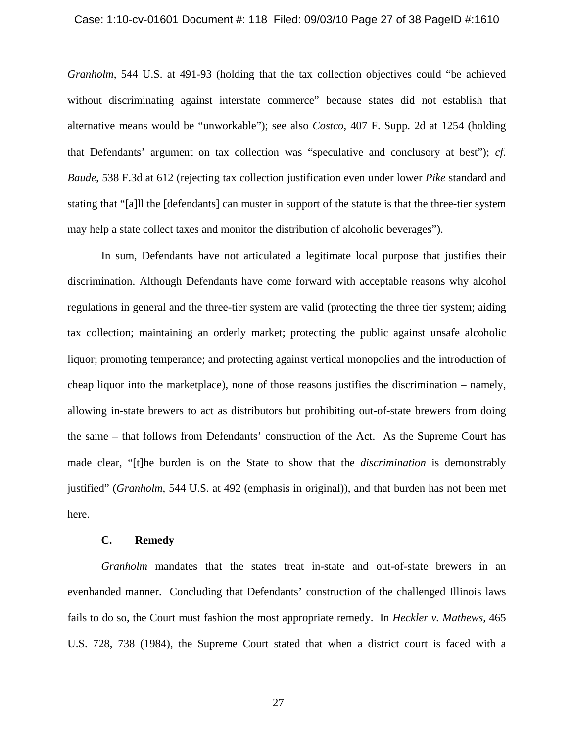### Case: 1:10-cv-01601 Document #: 118 Filed: 09/03/10 Page 27 of 38 PageID #:1610

*Granholm*, 544 U.S. at 491-93 (holding that the tax collection objectives could "be achieved without discriminating against interstate commerce" because states did not establish that alternative means would be "unworkable"); see also *Costco*, 407 F. Supp. 2d at 1254 (holding that Defendants' argument on tax collection was "speculative and conclusory at best"); *cf. Baude*, 538 F.3d at 612 (rejecting tax collection justification even under lower *Pike* standard and stating that "[a]ll the [defendants] can muster in support of the statute is that the three-tier system may help a state collect taxes and monitor the distribution of alcoholic beverages").

In sum, Defendants have not articulated a legitimate local purpose that justifies their discrimination. Although Defendants have come forward with acceptable reasons why alcohol regulations in general and the three-tier system are valid (protecting the three tier system; aiding tax collection; maintaining an orderly market; protecting the public against unsafe alcoholic liquor; promoting temperance; and protecting against vertical monopolies and the introduction of cheap liquor into the marketplace), none of those reasons justifies the discrimination – namely, allowing in-state brewers to act as distributors but prohibiting out-of-state brewers from doing the same – that follows from Defendants' construction of the Act. As the Supreme Court has made clear, "[t]he burden is on the State to show that the *discrimination* is demonstrably justified" (*Granholm*, 544 U.S. at 492 (emphasis in original)), and that burden has not been met here.

#### **C. Remedy**

*Granholm* mandates that the states treat in-state and out-of-state brewers in an evenhanded manner. Concluding that Defendants' construction of the challenged Illinois laws fails to do so, the Court must fashion the most appropriate remedy. In *Heckler v. Mathews,* 465 U.S. 728, 738 (1984), the Supreme Court stated that when a district court is faced with a

27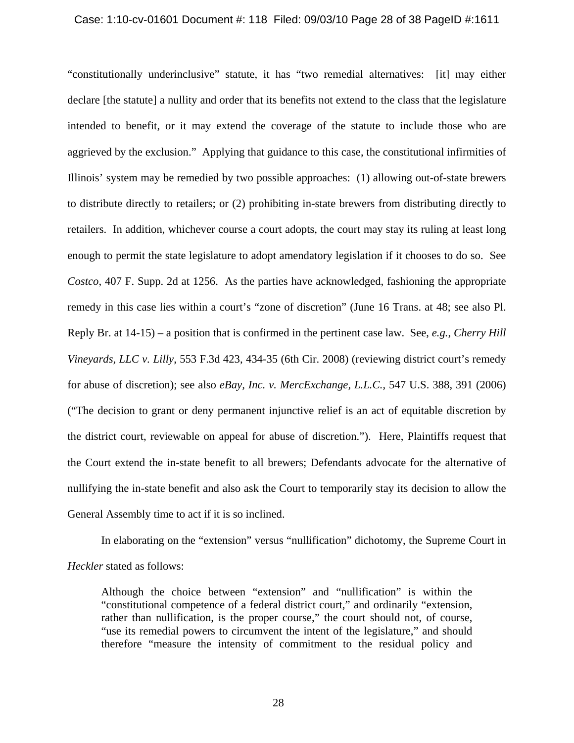#### Case: 1:10-cv-01601 Document #: 118 Filed: 09/03/10 Page 28 of 38 PageID #:1611

"constitutionally underinclusive" statute, it has "two remedial alternatives: [it] may either declare [the statute] a nullity and order that its benefits not extend to the class that the legislature intended to benefit, or it may extend the coverage of the statute to include those who are aggrieved by the exclusion." Applying that guidance to this case, the constitutional infirmities of Illinois' system may be remedied by two possible approaches: (1) allowing out-of-state brewers to distribute directly to retailers; or (2) prohibiting in-state brewers from distributing directly to retailers. In addition, whichever course a court adopts, the court may stay its ruling at least long enough to permit the state legislature to adopt amendatory legislation if it chooses to do so. See *Costco*, 407 F. Supp. 2d at 1256. As the parties have acknowledged, fashioning the appropriate remedy in this case lies within a court's "zone of discretion" (June 16 Trans. at 48; see also Pl. Reply Br. at 14-15) – a position that is confirmed in the pertinent case law. See, *e.g.*, *Cherry Hill Vineyards, LLC v. Lilly*, 553 F.3d 423, 434-35 (6th Cir. 2008) (reviewing district court's remedy for abuse of discretion); see also *eBay, Inc. v. MercExchange, L.L.C.*, 547 U.S. 388, 391 (2006) ("The decision to grant or deny permanent injunctive relief is an act of equitable discretion by the district court, reviewable on appeal for abuse of discretion."). Here, Plaintiffs request that the Court extend the in-state benefit to all brewers; Defendants advocate for the alternative of nullifying the in-state benefit and also ask the Court to temporarily stay its decision to allow the General Assembly time to act if it is so inclined.

In elaborating on the "extension" versus "nullification" dichotomy, the Supreme Court in *Heckler* stated as follows:

Although the choice between "extension" and "nullification" is within the "constitutional competence of a federal district court," and ordinarily "extension, rather than nullification, is the proper course," the court should not, of course, "use its remedial powers to circumvent the intent of the legislature," and should therefore "measure the intensity of commitment to the residual policy and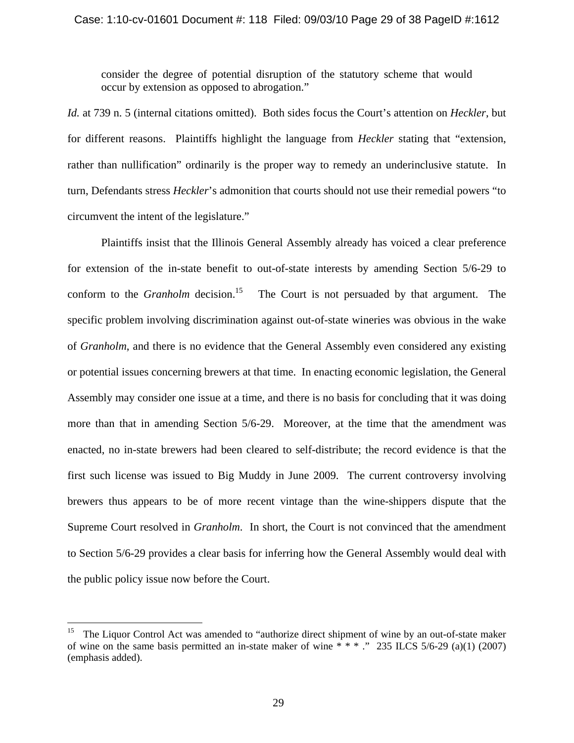consider the degree of potential disruption of the statutory scheme that would occur by extension as opposed to abrogation."

*Id.* at 739 n. 5 (internal citations omitted). Both sides focus the Court's attention on *Heckler*, but for different reasons. Plaintiffs highlight the language from *Heckler* stating that "extension, rather than nullification" ordinarily is the proper way to remedy an underinclusive statute. In turn, Defendants stress *Heckler*'s admonition that courts should not use their remedial powers "to circumvent the intent of the legislature."

Plaintiffs insist that the Illinois General Assembly already has voiced a clear preference for extension of the in-state benefit to out-of-state interests by amending Section 5/6-29 to conform to the *Granholm* decision.<sup>15</sup> The Court is not persuaded by that argument. The specific problem involving discrimination against out-of-state wineries was obvious in the wake of *Granholm*, and there is no evidence that the General Assembly even considered any existing or potential issues concerning brewers at that time. In enacting economic legislation, the General Assembly may consider one issue at a time, and there is no basis for concluding that it was doing more than that in amending Section 5/6-29. Moreover, at the time that the amendment was enacted, no in-state brewers had been cleared to self-distribute; the record evidence is that the first such license was issued to Big Muddy in June 2009. The current controversy involving brewers thus appears to be of more recent vintage than the wine-shippers dispute that the Supreme Court resolved in *Granholm*. In short, the Court is not convinced that the amendment to Section 5/6-29 provides a clear basis for inferring how the General Assembly would deal with the public policy issue now before the Court.

<u>.</u>

<sup>15</sup> The Liquor Control Act was amended to "authorize direct shipment of wine by an out-of-state maker of wine on the same basis permitted an in-state maker of wine  $* * *$ ." 235 ILCS 5/6-29 (a)(1) (2007) (emphasis added).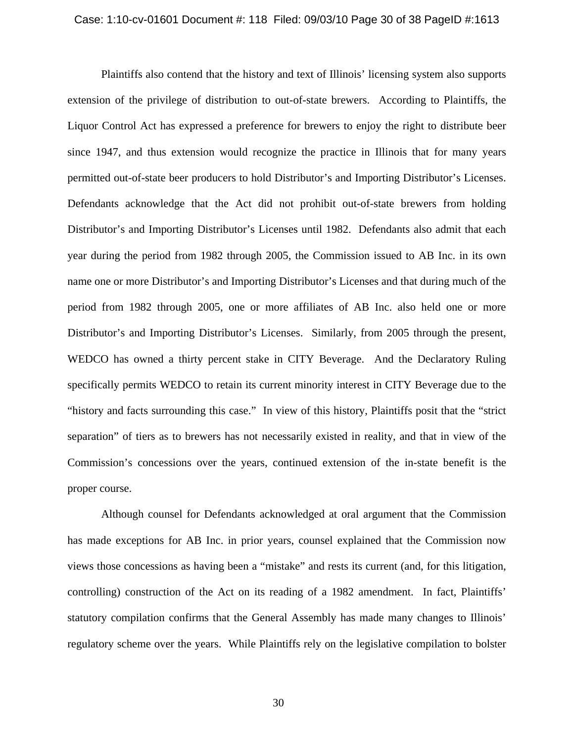#### Case: 1:10-cv-01601 Document #: 118 Filed: 09/03/10 Page 30 of 38 PageID #:1613

Plaintiffs also contend that the history and text of Illinois' licensing system also supports extension of the privilege of distribution to out-of-state brewers. According to Plaintiffs, the Liquor Control Act has expressed a preference for brewers to enjoy the right to distribute beer since 1947, and thus extension would recognize the practice in Illinois that for many years permitted out-of-state beer producers to hold Distributor's and Importing Distributor's Licenses. Defendants acknowledge that the Act did not prohibit out-of-state brewers from holding Distributor's and Importing Distributor's Licenses until 1982. Defendants also admit that each year during the period from 1982 through 2005, the Commission issued to AB Inc. in its own name one or more Distributor's and Importing Distributor's Licenses and that during much of the period from 1982 through 2005, one or more affiliates of AB Inc. also held one or more Distributor's and Importing Distributor's Licenses. Similarly, from 2005 through the present, WEDCO has owned a thirty percent stake in CITY Beverage. And the Declaratory Ruling specifically permits WEDCO to retain its current minority interest in CITY Beverage due to the "history and facts surrounding this case." In view of this history, Plaintiffs posit that the "strict separation" of tiers as to brewers has not necessarily existed in reality, and that in view of the Commission's concessions over the years, continued extension of the in-state benefit is the proper course.

Although counsel for Defendants acknowledged at oral argument that the Commission has made exceptions for AB Inc. in prior years, counsel explained that the Commission now views those concessions as having been a "mistake" and rests its current (and, for this litigation, controlling) construction of the Act on its reading of a 1982 amendment. In fact, Plaintiffs' statutory compilation confirms that the General Assembly has made many changes to Illinois' regulatory scheme over the years. While Plaintiffs rely on the legislative compilation to bolster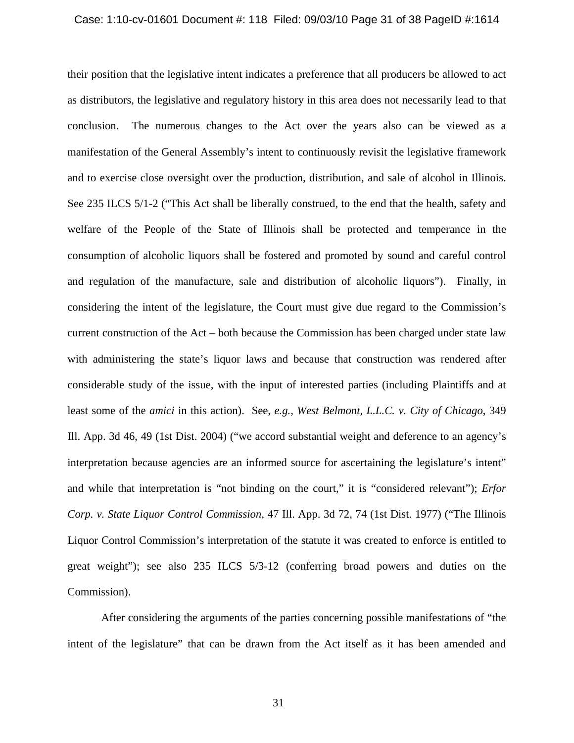#### Case: 1:10-cv-01601 Document #: 118 Filed: 09/03/10 Page 31 of 38 PageID #:1614

their position that the legislative intent indicates a preference that all producers be allowed to act as distributors, the legislative and regulatory history in this area does not necessarily lead to that conclusion. The numerous changes to the Act over the years also can be viewed as a manifestation of the General Assembly's intent to continuously revisit the legislative framework and to exercise close oversight over the production, distribution, and sale of alcohol in Illinois. See 235 ILCS 5/1-2 ("This Act shall be liberally construed, to the end that the health, safety and welfare of the People of the State of Illinois shall be protected and temperance in the consumption of alcoholic liquors shall be fostered and promoted by sound and careful control and regulation of the manufacture, sale and distribution of alcoholic liquors"). Finally, in considering the intent of the legislature, the Court must give due regard to the Commission's current construction of the Act – both because the Commission has been charged under state law with administering the state's liquor laws and because that construction was rendered after considerable study of the issue, with the input of interested parties (including Plaintiffs and at least some of the *amici* in this action). See, *e.g.*, *West Belmont, L.L.C. v. City of Chicago*, 349 Ill. App. 3d 46, 49 (1st Dist. 2004) ("we accord substantial weight and deference to an agency's interpretation because agencies are an informed source for ascertaining the legislature's intent" and while that interpretation is "not binding on the court," it is "considered relevant"); *Erfor Corp. v. State Liquor Control Commission*, 47 Ill. App. 3d 72, 74 (1st Dist. 1977) ("The Illinois Liquor Control Commission's interpretation of the statute it was created to enforce is entitled to great weight"); see also 235 ILCS 5/3-12 (conferring broad powers and duties on the Commission).

After considering the arguments of the parties concerning possible manifestations of "the intent of the legislature" that can be drawn from the Act itself as it has been amended and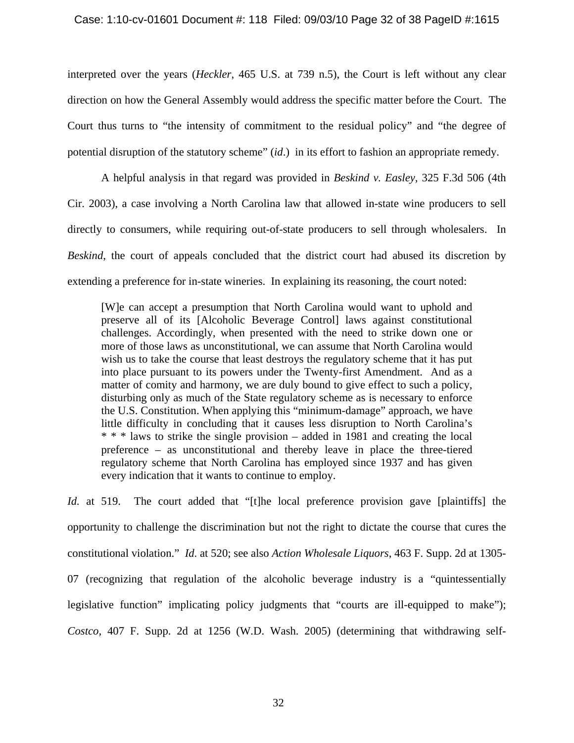# Case: 1:10-cv-01601 Document #: 118 Filed: 09/03/10 Page 32 of 38 PageID #:1615

interpreted over the years (*Heckler*, 465 U.S. at 739 n.5), the Court is left without any clear direction on how the General Assembly would address the specific matter before the Court. The Court thus turns to "the intensity of commitment to the residual policy" and "the degree of potential disruption of the statutory scheme" (*id*.) in its effort to fashion an appropriate remedy.

A helpful analysis in that regard was provided in *Beskind v. Easley,* 325 F.3d 506 (4th Cir. 2003), a case involving a North Carolina law that allowed in-state wine producers to sell directly to consumers, while requiring out-of-state producers to sell through wholesalers. In *Beskind*, the court of appeals concluded that the district court had abused its discretion by extending a preference for in-state wineries. In explaining its reasoning, the court noted:

[W]e can accept a presumption that North Carolina would want to uphold and preserve all of its [Alcoholic Beverage Control] laws against constitutional challenges. Accordingly, when presented with the need to strike down one or more of those laws as unconstitutional, we can assume that North Carolina would wish us to take the course that least destroys the regulatory scheme that it has put into place pursuant to its powers under the Twenty-first Amendment. And as a matter of comity and harmony, we are duly bound to give effect to such a policy, disturbing only as much of the State regulatory scheme as is necessary to enforce the U.S. Constitution. When applying this "minimum-damage" approach, we have little difficulty in concluding that it causes less disruption to North Carolina's \* \* \* laws to strike the single provision – added in 1981 and creating the local preference – as unconstitutional and thereby leave in place the three-tiered regulatory scheme that North Carolina has employed since 1937 and has given every indication that it wants to continue to employ.

*Id.* at 519. The court added that "[t]he local preference provision gave [plaintiffs] the opportunity to challenge the discrimination but not the right to dictate the course that cures the constitutional violation." *Id*. at 520; see also *Action Wholesale Liquors*, 463 F. Supp. 2d at 1305- 07 (recognizing that regulation of the alcoholic beverage industry is a "quintessentially legislative function" implicating policy judgments that "courts are ill-equipped to make"); *Costco,* 407 F. Supp. 2d at 1256 (W.D. Wash. 2005) (determining that withdrawing self-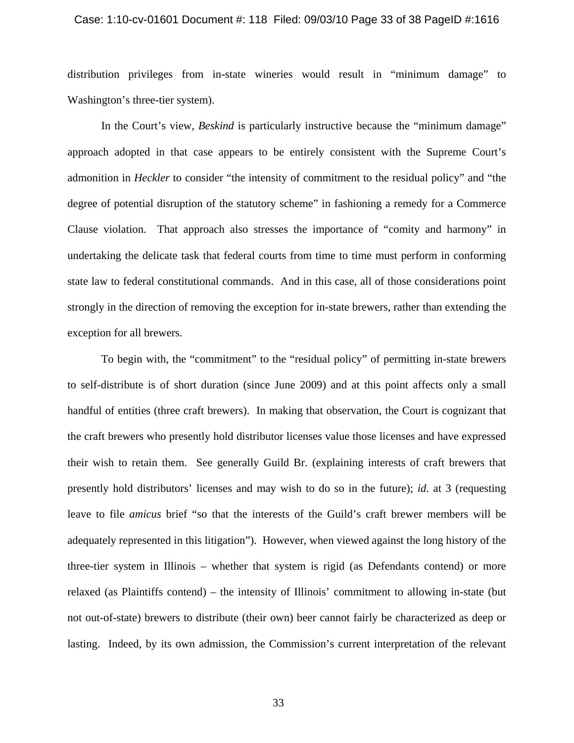#### Case: 1:10-cv-01601 Document #: 118 Filed: 09/03/10 Page 33 of 38 PageID #:1616

distribution privileges from in-state wineries would result in "minimum damage" to Washington's three-tier system).

In the Court's view, *Beskind* is particularly instructive because the "minimum damage" approach adopted in that case appears to be entirely consistent with the Supreme Court's admonition in *Heckler* to consider "the intensity of commitment to the residual policy" and "the degree of potential disruption of the statutory scheme" in fashioning a remedy for a Commerce Clause violation. That approach also stresses the importance of "comity and harmony" in undertaking the delicate task that federal courts from time to time must perform in conforming state law to federal constitutional commands. And in this case, all of those considerations point strongly in the direction of removing the exception for in-state brewers, rather than extending the exception for all brewers.

To begin with, the "commitment" to the "residual policy" of permitting in-state brewers to self-distribute is of short duration (since June 2009) and at this point affects only a small handful of entities (three craft brewers). In making that observation, the Court is cognizant that the craft brewers who presently hold distributor licenses value those licenses and have expressed their wish to retain them. See generally Guild Br. (explaining interests of craft brewers that presently hold distributors' licenses and may wish to do so in the future); *id*. at 3 (requesting leave to file *amicus* brief "so that the interests of the Guild's craft brewer members will be adequately represented in this litigation"). However, when viewed against the long history of the three-tier system in Illinois – whether that system is rigid (as Defendants contend) or more relaxed (as Plaintiffs contend) – the intensity of Illinois' commitment to allowing in-state (but not out-of-state) brewers to distribute (their own) beer cannot fairly be characterized as deep or lasting. Indeed, by its own admission, the Commission's current interpretation of the relevant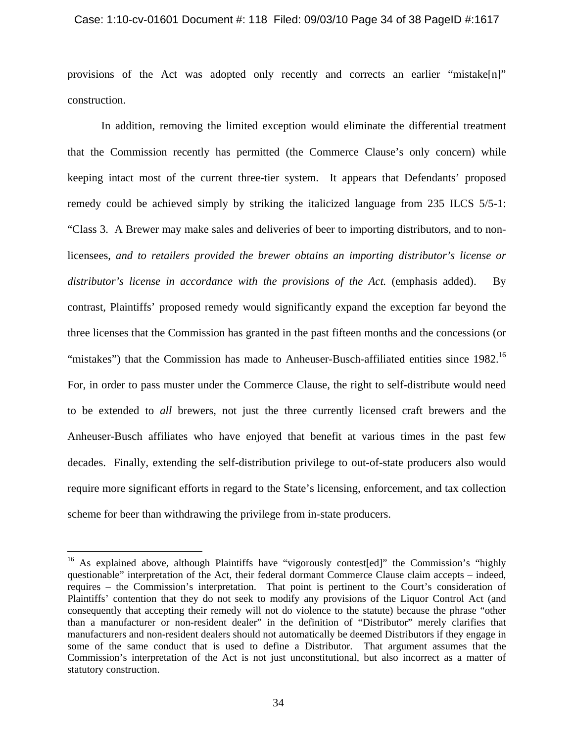#### Case: 1:10-cv-01601 Document #: 118 Filed: 09/03/10 Page 34 of 38 PageID #:1617

provisions of the Act was adopted only recently and corrects an earlier "mistake $[n]$ " construction.

In addition, removing the limited exception would eliminate the differential treatment that the Commission recently has permitted (the Commerce Clause's only concern) while keeping intact most of the current three-tier system. It appears that Defendants' proposed remedy could be achieved simply by striking the italicized language from 235 ILCS 5/5-1: "Class 3. A Brewer may make sales and deliveries of beer to importing distributors, and to nonlicensees, *and to retailers provided the brewer obtains an importing distributor's license or distributor's license in accordance with the provisions of the Act.* (emphasis added). By contrast, Plaintiffs' proposed remedy would significantly expand the exception far beyond the three licenses that the Commission has granted in the past fifteen months and the concessions (or "mistakes") that the Commission has made to Anheuser-Busch-affiliated entities since 1982.<sup>16</sup> For, in order to pass muster under the Commerce Clause, the right to self-distribute would need to be extended to *all* brewers, not just the three currently licensed craft brewers and the Anheuser-Busch affiliates who have enjoyed that benefit at various times in the past few decades. Finally, extending the self-distribution privilege to out-of-state producers also would require more significant efforts in regard to the State's licensing, enforcement, and tax collection scheme for beer than withdrawing the privilege from in-state producers.

1

<sup>&</sup>lt;sup>16</sup> As explained above, although Plaintiffs have "vigorously contest[ed]" the Commission's "highly questionable" interpretation of the Act, their federal dormant Commerce Clause claim accepts – indeed, requires – the Commission's interpretation. That point is pertinent to the Court's consideration of Plaintiffs' contention that they do not seek to modify any provisions of the Liquor Control Act (and consequently that accepting their remedy will not do violence to the statute) because the phrase "other than a manufacturer or non-resident dealer" in the definition of "Distributor" merely clarifies that manufacturers and non-resident dealers should not automatically be deemed Distributors if they engage in some of the same conduct that is used to define a Distributor. That argument assumes that the Commission's interpretation of the Act is not just unconstitutional, but also incorrect as a matter of statutory construction.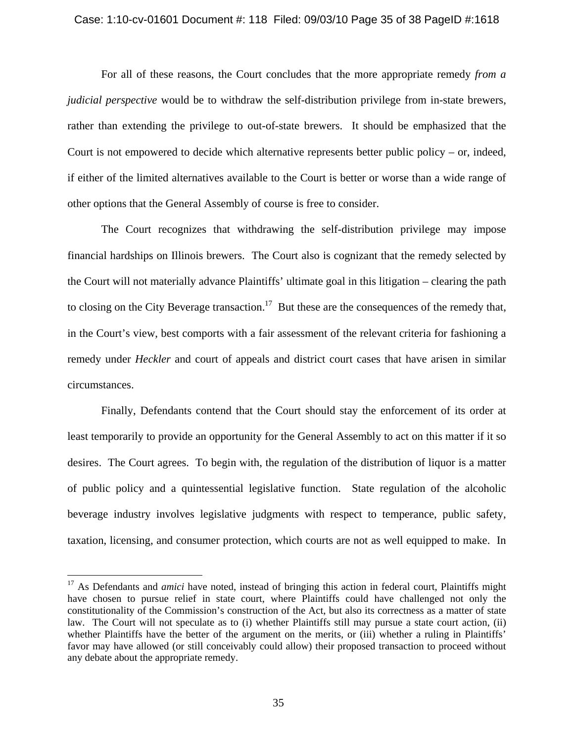#### Case: 1:10-cv-01601 Document #: 118 Filed: 09/03/10 Page 35 of 38 PageID #:1618

For all of these reasons, the Court concludes that the more appropriate remedy *from a judicial perspective* would be to withdraw the self-distribution privilege from in-state brewers, rather than extending the privilege to out-of-state brewers. It should be emphasized that the Court is not empowered to decide which alternative represents better public policy – or, indeed, if either of the limited alternatives available to the Court is better or worse than a wide range of other options that the General Assembly of course is free to consider.

The Court recognizes that withdrawing the self-distribution privilege may impose financial hardships on Illinois brewers. The Court also is cognizant that the remedy selected by the Court will not materially advance Plaintiffs' ultimate goal in this litigation – clearing the path to closing on the City Beverage transaction.<sup>17</sup> But these are the consequences of the remedy that, in the Court's view, best comports with a fair assessment of the relevant criteria for fashioning a remedy under *Heckler* and court of appeals and district court cases that have arisen in similar circumstances.

Finally, Defendants contend that the Court should stay the enforcement of its order at least temporarily to provide an opportunity for the General Assembly to act on this matter if it so desires. The Court agrees. To begin with, the regulation of the distribution of liquor is a matter of public policy and a quintessential legislative function. State regulation of the alcoholic beverage industry involves legislative judgments with respect to temperance, public safety, taxation, licensing, and consumer protection, which courts are not as well equipped to make. In

1

<sup>&</sup>lt;sup>17</sup> As Defendants and *amici* have noted, instead of bringing this action in federal court, Plaintiffs might have chosen to pursue relief in state court, where Plaintiffs could have challenged not only the constitutionality of the Commission's construction of the Act, but also its correctness as a matter of state law. The Court will not speculate as to (i) whether Plaintiffs still may pursue a state court action, (ii) whether Plaintiffs have the better of the argument on the merits, or (iii) whether a ruling in Plaintiffs' favor may have allowed (or still conceivably could allow) their proposed transaction to proceed without any debate about the appropriate remedy.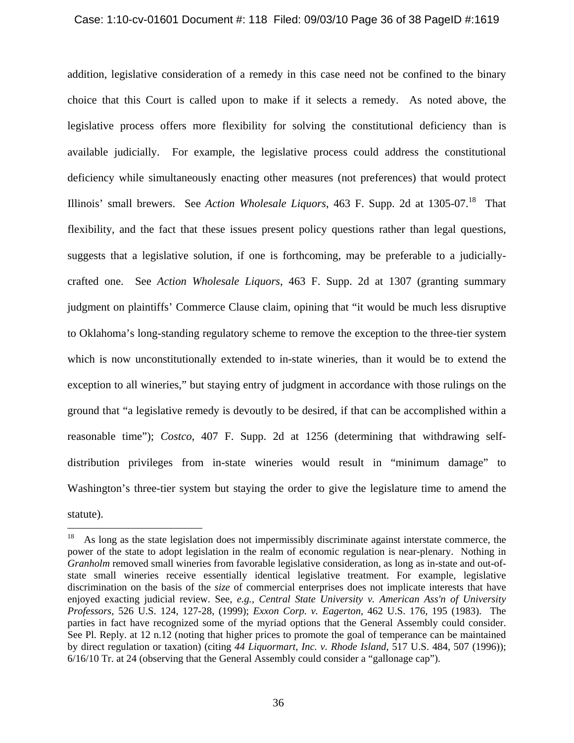### Case: 1:10-cv-01601 Document #: 118 Filed: 09/03/10 Page 36 of 38 PageID #:1619

addition, legislative consideration of a remedy in this case need not be confined to the binary choice that this Court is called upon to make if it selects a remedy. As noted above, the legislative process offers more flexibility for solving the constitutional deficiency than is available judicially. For example, the legislative process could address the constitutional deficiency while simultaneously enacting other measures (not preferences) that would protect Illinois' small brewers. See *Action Wholesale Liquors*, 463 F. Supp. 2d at 1305-07.18 That flexibility, and the fact that these issues present policy questions rather than legal questions, suggests that a legislative solution, if one is forthcoming, may be preferable to a judiciallycrafted one. See *Action Wholesale Liquors*, 463 F. Supp. 2d at 1307 (granting summary judgment on plaintiffs' Commerce Clause claim, opining that "it would be much less disruptive to Oklahoma's long-standing regulatory scheme to remove the exception to the three-tier system which is now unconstitutionally extended to in-state wineries, than it would be to extend the exception to all wineries," but staying entry of judgment in accordance with those rulings on the ground that "a legislative remedy is devoutly to be desired, if that can be accomplished within a reasonable time"); *Costco,* 407 F. Supp. 2d at 1256 (determining that withdrawing selfdistribution privileges from in-state wineries would result in "minimum damage" to Washington's three-tier system but staying the order to give the legislature time to amend the statute).

 $\overline{a}$ 

<sup>18</sup> As long as the state legislation does not impermissibly discriminate against interstate commerce, the power of the state to adopt legislation in the realm of economic regulation is near-plenary. Nothing in *Granholm* removed small wineries from favorable legislative consideration, as long as in-state and out-ofstate small wineries receive essentially identical legislative treatment. For example, legislative discrimination on the basis of the *size* of commercial enterprises does not implicate interests that have enjoyed exacting judicial review. See, *e.g., Central State University v. American Ass'n of University Professors,* 526 U.S. 124, 127-28, (1999); *Exxon Corp. v. Eagerton,* 462 U.S. 176, 195 (1983). The parties in fact have recognized some of the myriad options that the General Assembly could consider. See Pl. Reply. at 12 n.12 (noting that higher prices to promote the goal of temperance can be maintained by direct regulation or taxation) (citing *44 Liquormart, Inc. v. Rhode Island*, 517 U.S. 484, 507 (1996)); 6/16/10 Tr. at 24 (observing that the General Assembly could consider a "gallonage cap").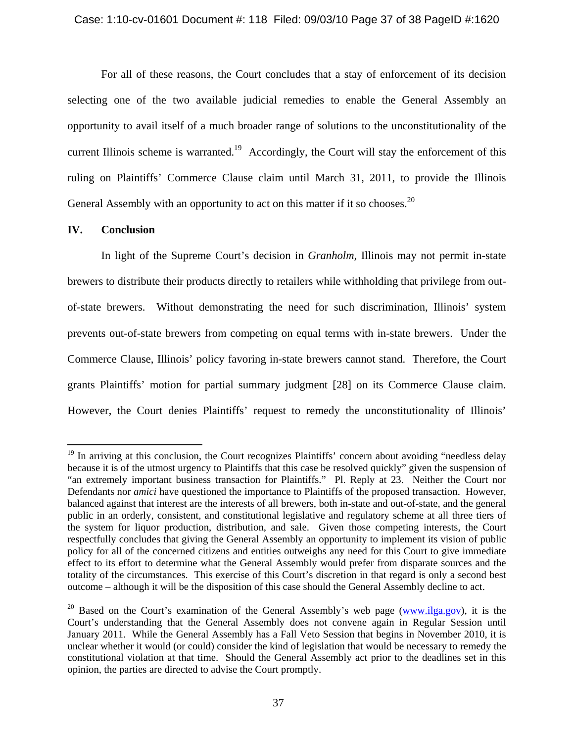For all of these reasons, the Court concludes that a stay of enforcement of its decision selecting one of the two available judicial remedies to enable the General Assembly an opportunity to avail itself of a much broader range of solutions to the unconstitutionality of the current Illinois scheme is warranted.<sup>19</sup> Accordingly, the Court will stay the enforcement of this ruling on Plaintiffs' Commerce Clause claim until March 31, 2011, to provide the Illinois General Assembly with an opportunity to act on this matter if it so chooses.<sup>20</sup>

# **IV. Conclusion**

 $\overline{a}$ 

In light of the Supreme Court's decision in *Granholm,* Illinois may not permit in-state brewers to distribute their products directly to retailers while withholding that privilege from outof-state brewers. Without demonstrating the need for such discrimination, Illinois' system prevents out-of-state brewers from competing on equal terms with in-state brewers. Under the Commerce Clause, Illinois' policy favoring in-state brewers cannot stand. Therefore, the Court grants Plaintiffs' motion for partial summary judgment [28] on its Commerce Clause claim. However, the Court denies Plaintiffs' request to remedy the unconstitutionality of Illinois'

<sup>&</sup>lt;sup>19</sup> In arriving at this conclusion, the Court recognizes Plaintiffs' concern about avoiding "needless delay because it is of the utmost urgency to Plaintiffs that this case be resolved quickly" given the suspension of "an extremely important business transaction for Plaintiffs." Pl. Reply at 23. Neither the Court nor Defendants nor *amici* have questioned the importance to Plaintiffs of the proposed transaction. However, balanced against that interest are the interests of all brewers, both in-state and out-of-state, and the general public in an orderly, consistent, and constitutional legislative and regulatory scheme at all three tiers of the system for liquor production, distribution, and sale. Given those competing interests, the Court respectfully concludes that giving the General Assembly an opportunity to implement its vision of public policy for all of the concerned citizens and entities outweighs any need for this Court to give immediate effect to its effort to determine what the General Assembly would prefer from disparate sources and the totality of the circumstances. This exercise of this Court's discretion in that regard is only a second best outcome – although it will be the disposition of this case should the General Assembly decline to act.

<sup>&</sup>lt;sup>20</sup> Based on the Court's examination of the General Assembly's web page (www.ilga.gov), it is the Court's understanding that the General Assembly does not convene again in Regular Session until January 2011. While the General Assembly has a Fall Veto Session that begins in November 2010, it is unclear whether it would (or could) consider the kind of legislation that would be necessary to remedy the constitutional violation at that time. Should the General Assembly act prior to the deadlines set in this opinion, the parties are directed to advise the Court promptly.